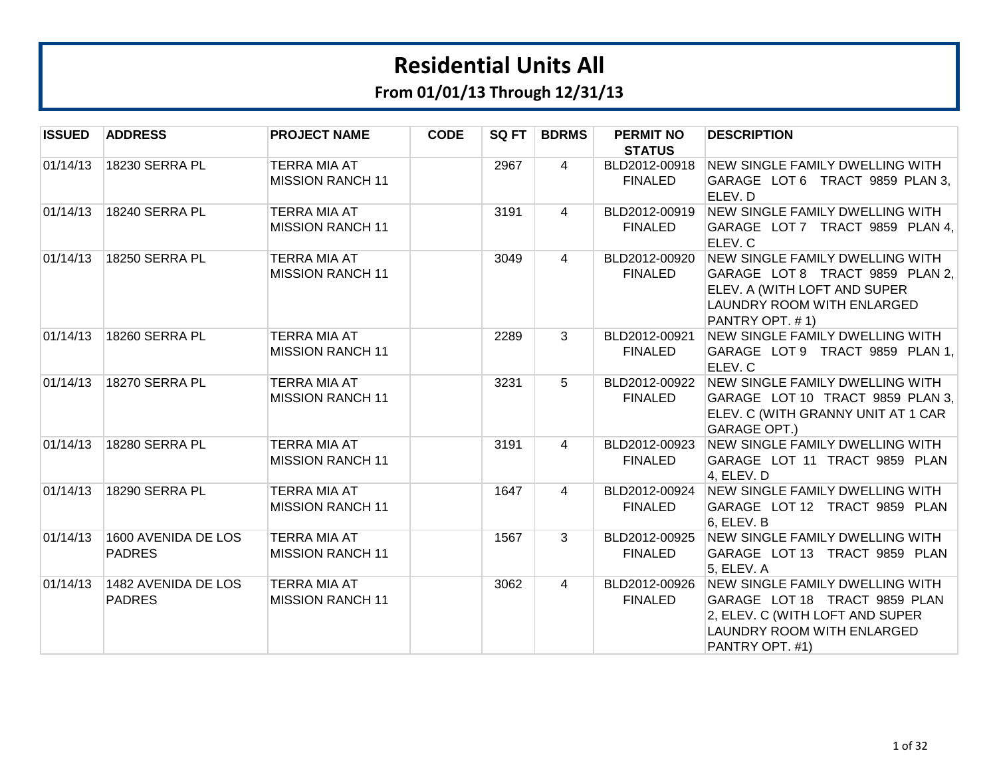| <b>ISSUED</b> | <b>ADDRESS</b>                       | <b>PROJECT NAME</b>                            | <b>CODE</b> | SQ FT | <b>BDRMS</b>   | <b>PERMIT NO</b><br><b>STATUS</b> | <b>DESCRIPTION</b>                                                                                                                                   |
|---------------|--------------------------------------|------------------------------------------------|-------------|-------|----------------|-----------------------------------|------------------------------------------------------------------------------------------------------------------------------------------------------|
| 01/14/13      | 18230 SERRA PL                       | <b>TERRA MIA AT</b><br><b>MISSION RANCH 11</b> |             | 2967  | 4              | BLD2012-00918<br><b>FINALED</b>   | NEW SINGLE FAMILY DWELLING WITH<br>GARAGE LOT 6 TRACT 9859 PLAN 3.<br>ELEV. D                                                                        |
| 01/14/13      | 18240 SERRA PL                       | <b>TERRA MIA AT</b><br><b>MISSION RANCH 11</b> |             | 3191  | 4              | BLD2012-00919<br><b>FINALED</b>   | NEW SINGLE FAMILY DWELLING WITH<br>GARAGE LOT 7 TRACT 9859 PLAN 4,<br>ELEV. C                                                                        |
| 01/14/13      | 18250 SERRA PL                       | TERRA MIA AT<br><b>MISSION RANCH 11</b>        |             | 3049  | 4              | BLD2012-00920<br><b>FINALED</b>   | NEW SINGLE FAMILY DWELLING WITH<br>GARAGE LOT 8 TRACT 9859 PLAN 2,<br>ELEV. A (WITH LOFT AND SUPER<br>LAUNDRY ROOM WITH ENLARGED<br>PANTRY OPT. #1)  |
| 01/14/13      | <b>18260 SERRA PL</b>                | <b>TERRA MIA AT</b><br><b>MISSION RANCH 11</b> |             | 2289  | 3              | BLD2012-00921<br><b>FINALED</b>   | <b>NEW SINGLE FAMILY DWELLING WITH</b><br>GARAGE LOT 9 TRACT 9859 PLAN 1,<br>ELEV. C                                                                 |
| 01/14/13      | <b>18270 SERRA PL</b>                | <b>TERRA MIA AT</b><br><b>MISSION RANCH 11</b> |             | 3231  | $5^{\circ}$    | BLD2012-00922<br><b>FINALED</b>   | NEW SINGLE FAMILY DWELLING WITH<br>GARAGE LOT 10 TRACT 9859 PLAN 3,<br>ELEV. C (WITH GRANNY UNIT AT 1 CAR<br><b>GARAGE OPT.)</b>                     |
| 01/14/13      | 18280 SERRA PL                       | TERRA MIA AT<br><b>MISSION RANCH 11</b>        |             | 3191  | $\overline{4}$ | BLD2012-00923<br><b>FINALED</b>   | NEW SINGLE FAMILY DWELLING WITH<br>GARAGE LOT 11 TRACT 9859 PLAN<br>4, ELEV. D                                                                       |
| 01/14/13      | <b>18290 SERRA PL</b>                | <b>TERRA MIA AT</b><br><b>MISSION RANCH 11</b> |             | 1647  | $\overline{4}$ | BLD2012-00924<br><b>FINALED</b>   | NEW SINGLE FAMILY DWELLING WITH<br>GARAGE LOT 12 TRACT 9859 PLAN<br>6, ELEV. B                                                                       |
| 01/14/13      | 1600 AVENIDA DE LOS<br><b>PADRES</b> | <b>TERRA MIA AT</b><br><b>MISSION RANCH 11</b> |             | 1567  | 3              | BLD2012-00925<br><b>FINALED</b>   | NEW SINGLE FAMILY DWELLING WITH<br>GARAGE LOT 13 TRACT 9859 PLAN<br>5, ELEV. A                                                                       |
| 01/14/13      | 1482 AVENIDA DE LOS<br><b>PADRES</b> | <b>TERRA MIA AT</b><br><b>MISSION RANCH 11</b> |             | 3062  | $\overline{4}$ | BLD2012-00926<br><b>FINALED</b>   | NEW SINGLE FAMILY DWELLING WITH<br>GARAGE LOT 18 TRACT 9859 PLAN<br>2, ELEV. C (WITH LOFT AND SUPER<br>LAUNDRY ROOM WITH ENLARGED<br>PANTRY OPT. #1) |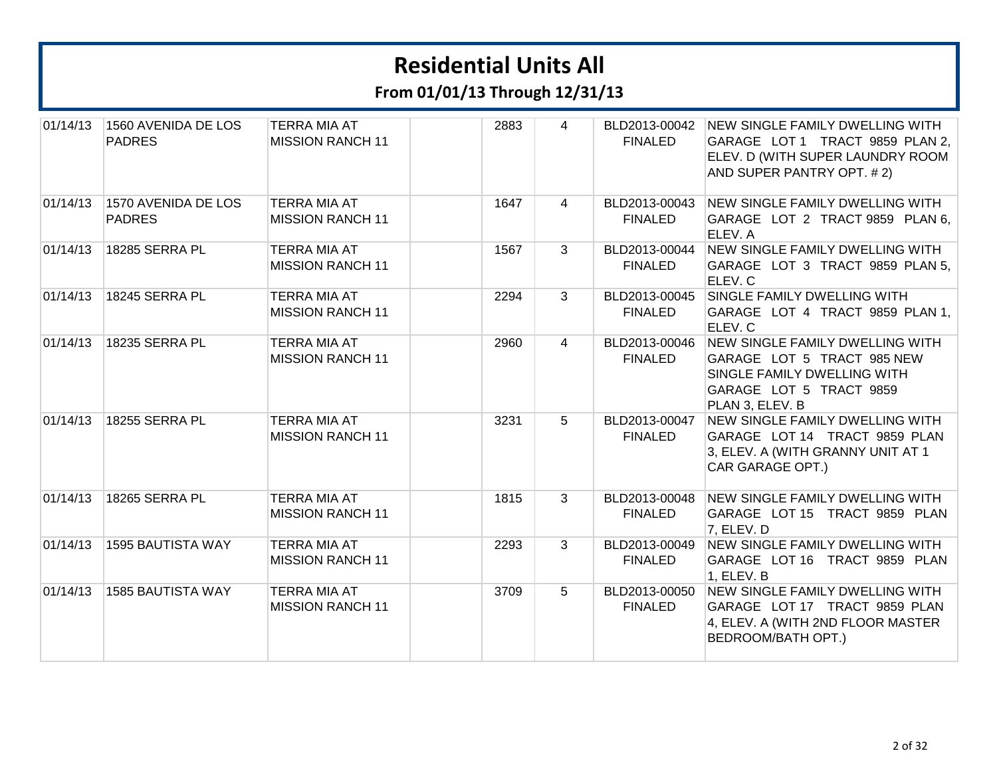| 01/14/13 | 1560 AVENIDA DE LOS<br><b>PADRES</b> | <b>TERRA MIA AT</b><br><b>MISSION RANCH 11</b> | 2883 | 4               | BLD2013-00042<br><b>FINALED</b> | NEW SINGLE FAMILY DWELLING WITH<br>GARAGE LOT 1 TRACT 9859 PLAN 2,<br>ELEV. D (WITH SUPER LAUNDRY ROOM<br>AND SUPER PANTRY OPT. #2)        |
|----------|--------------------------------------|------------------------------------------------|------|-----------------|---------------------------------|--------------------------------------------------------------------------------------------------------------------------------------------|
| 01/14/13 | 1570 AVENIDA DE LOS<br><b>PADRES</b> | <b>TERRA MIA AT</b><br><b>MISSION RANCH 11</b> | 1647 | $\overline{4}$  | BLD2013-00043<br><b>FINALED</b> | NEW SINGLE FAMILY DWELLING WITH<br>GARAGE LOT 2 TRACT 9859 PLAN 6,<br>ELEV. A                                                              |
| 01/14/13 | 18285 SERRA PL                       | <b>TERRA MIA AT</b><br><b>MISSION RANCH 11</b> | 1567 | $\mathbf{3}$    | BLD2013-00044<br><b>FINALED</b> | NEW SINGLE FAMILY DWELLING WITH<br>GARAGE LOT 3 TRACT 9859 PLAN 5,<br>ELEV. C                                                              |
| 01/14/13 | 18245 SERRA PL                       | <b>TERRA MIA AT</b><br><b>MISSION RANCH 11</b> | 2294 | $\mathbf{3}$    | BLD2013-00045<br><b>FINALED</b> | SINGLE FAMILY DWELLING WITH<br>GARAGE LOT 4 TRACT 9859 PLAN 1,<br>ELEV. C                                                                  |
| 01/14/13 | 18235 SERRA PL                       | TERRA MIA AT<br><b>MISSION RANCH 11</b>        | 2960 | $\overline{4}$  | BLD2013-00046<br><b>FINALED</b> | NEW SINGLE FAMILY DWELLING WITH<br>GARAGE LOT 5 TRACT 985 NEW<br>SINGLE FAMILY DWELLING WITH<br>GARAGE LOT 5 TRACT 9859<br>PLAN 3, ELEV. B |
| 01/14/13 | 18255 SERRA PL                       | <b>TERRA MIA AT</b><br><b>MISSION RANCH 11</b> | 3231 | $5^{\circ}$     | BLD2013-00047<br><b>FINALED</b> | <b>NEW SINGLE FAMILY DWELLING WITH</b><br>GARAGE LOT 14 TRACT 9859 PLAN<br>3, ELEV. A (WITH GRANNY UNIT AT 1<br>CAR GARAGE OPT.)           |
| 01/14/13 | 18265 SERRA PL                       | TERRA MIA AT<br><b>MISSION RANCH 11</b>        | 1815 | $\mathbf{3}$    | BLD2013-00048<br><b>FINALED</b> | NEW SINGLE FAMILY DWELLING WITH<br>GARAGE LOT 15 TRACT 9859 PLAN<br>7, ELEV. D                                                             |
| 01/14/13 | 1595 BAUTISTA WAY                    | TERRA MIA AT<br><b>MISSION RANCH 11</b>        | 2293 | $\mathbf{3}$    | BLD2013-00049<br><b>FINALED</b> | NEW SINGLE FAMILY DWELLING WITH<br>GARAGE LOT 16 TRACT 9859 PLAN<br>1, ELEV. B                                                             |
| 01/14/13 | 1585 BAUTISTA WAY                    | <b>TERRA MIA AT</b><br><b>MISSION RANCH 11</b> | 3709 | $5\overline{)}$ | BLD2013-00050<br><b>FINALED</b> | <b>NEW SINGLE FAMILY DWELLING WITH</b><br>GARAGE LOT 17 TRACT 9859 PLAN<br>4, ELEV. A (WITH 2ND FLOOR MASTER<br><b>BEDROOM/BATH OPT.)</b>  |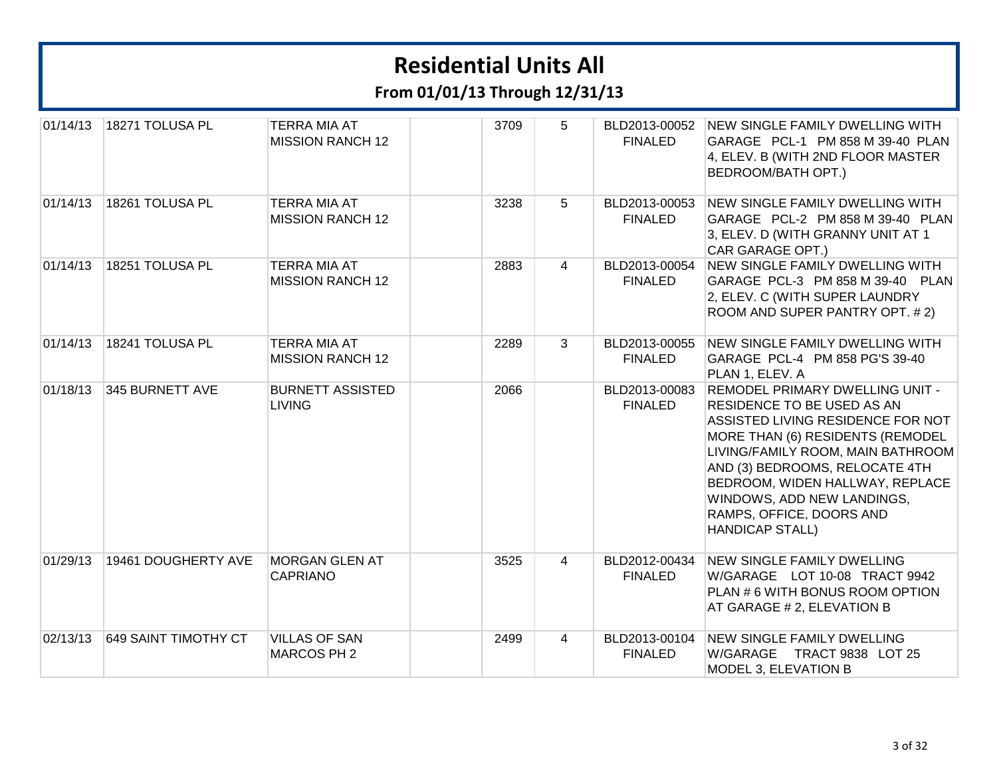| 01/14/13 | 18271 TOLUSA PL      | <b>TERRA MIA AT</b><br><b>MISSION RANCH 12</b> | 3709 | 5              | BLD2013-00052<br><b>FINALED</b> | <b>NEW SINGLE FAMILY DWELLING WITH</b><br>GARAGE PCL-1 PM 858 M 39-40 PLAN<br>4, ELEV. B (WITH 2ND FLOOR MASTER<br><b>BEDROOM/BATH OPT.)</b>                                                                                                                                                                                                |
|----------|----------------------|------------------------------------------------|------|----------------|---------------------------------|---------------------------------------------------------------------------------------------------------------------------------------------------------------------------------------------------------------------------------------------------------------------------------------------------------------------------------------------|
| 01/14/13 | 18261 TOLUSA PL      | <b>TERRA MIA AT</b><br><b>MISSION RANCH 12</b> | 3238 | 5              | BLD2013-00053<br><b>FINALED</b> | <b>NEW SINGLE FAMILY DWELLING WITH</b><br>GARAGE PCL-2 PM 858 M 39-40 PLAN<br>3, ELEV. D (WITH GRANNY UNIT AT 1<br>CAR GARAGE OPT.)                                                                                                                                                                                                         |
| 01/14/13 | 18251 TOLUSA PL      | <b>TERRA MIA AT</b><br><b>MISSION RANCH 12</b> | 2883 | 4              | BLD2013-00054<br><b>FINALED</b> | <b>NEW SINGLE FAMILY DWELLING WITH</b><br>GARAGE PCL-3 PM 858 M 39-40 PLAN<br>2, ELEV. C (WITH SUPER LAUNDRY<br>ROOM AND SUPER PANTRY OPT. #2)                                                                                                                                                                                              |
| 01/14/13 | 18241 TOLUSA PL      | <b>TERRA MIA AT</b><br><b>MISSION RANCH 12</b> | 2289 | 3              | BLD2013-00055<br><b>FINALED</b> | <b>NEW SINGLE FAMILY DWELLING WITH</b><br>GARAGE PCL-4 PM 858 PG'S 39-40<br>PLAN 1, ELEV. A                                                                                                                                                                                                                                                 |
| 01/18/13 | 345 BURNETT AVE      | <b>BURNETT ASSISTED</b><br><b>LIVING</b>       | 2066 |                | BLD2013-00083<br><b>FINALED</b> | <b>REMODEL PRIMARY DWELLING UNIT -</b><br>RESIDENCE TO BE USED AS AN<br>ASSISTED LIVING RESIDENCE FOR NOT<br>MORE THAN (6) RESIDENTS (REMODEL<br>LIVING/FAMILY ROOM, MAIN BATHROOM<br>AND (3) BEDROOMS, RELOCATE 4TH<br>BEDROOM, WIDEN HALLWAY, REPLACE<br>WINDOWS, ADD NEW LANDINGS,<br>RAMPS, OFFICE, DOORS AND<br><b>HANDICAP STALL)</b> |
| 01/29/13 | 19461 DOUGHERTY AVE  | MORGAN GLEN AT<br><b>CAPRIANO</b>              | 3525 | $\overline{4}$ | BLD2012-00434<br><b>FINALED</b> | <b>NEW SINGLE FAMILY DWELLING</b><br>W/GARAGE LOT 10-08 TRACT 9942<br>PLAN # 6 WITH BONUS ROOM OPTION<br>AT GARAGE # 2, ELEVATION B                                                                                                                                                                                                         |
| 02/13/13 | 649 SAINT TIMOTHY CT | <b>VILLAS OF SAN</b><br>MARCOS PH 2            | 2499 | $\overline{4}$ | BLD2013-00104<br><b>FINALED</b> | <b>NEW SINGLE FAMILY DWELLING</b><br>W/GARAGE TRACT 9838 LOT 25<br>MODEL 3, ELEVATION B                                                                                                                                                                                                                                                     |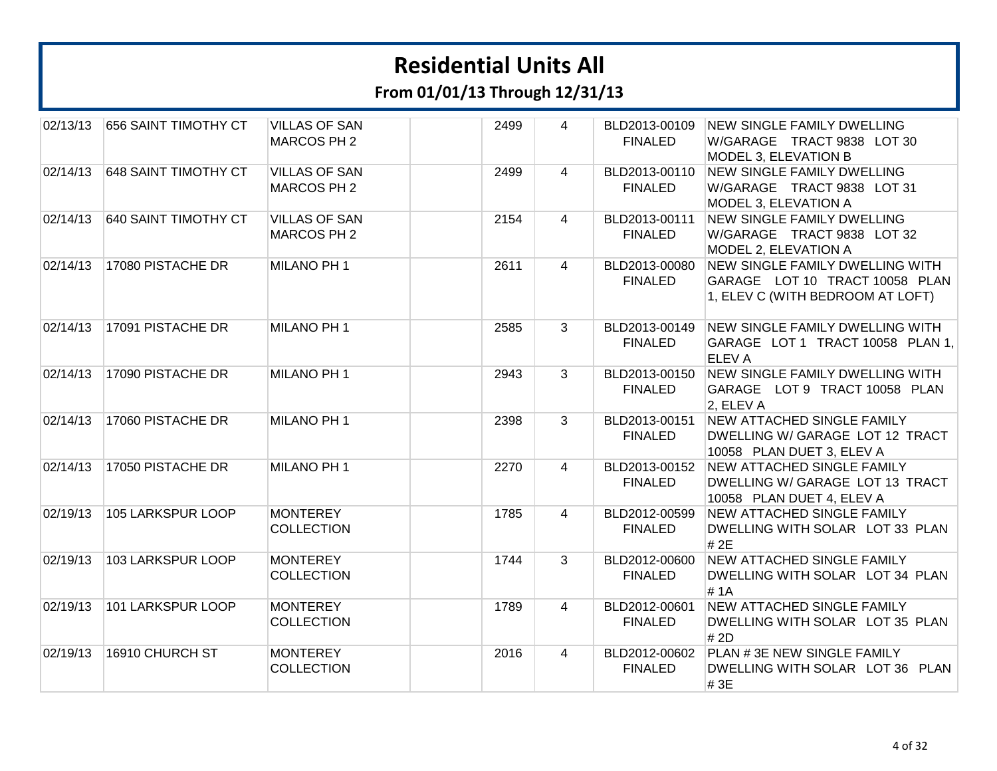| 02/13/13 | 656 SAINT TIMOTHY CT | <b>VILLAS OF SAN</b><br>MARCOS PH 2  | 2499 | 4              | BLD2013-00109<br><b>FINALED</b> | <b>NEW SINGLE FAMILY DWELLING</b><br>W/GARAGE TRACT 9838 LOT 30<br>MODEL 3, ELEVATION B                      |
|----------|----------------------|--------------------------------------|------|----------------|---------------------------------|--------------------------------------------------------------------------------------------------------------|
| 02/14/13 | 648 SAINT TIMOTHY CT | <b>VILLAS OF SAN</b><br>MARCOS PH 2  | 2499 | $\overline{4}$ | BLD2013-00110<br><b>FINALED</b> | <b>NEW SINGLE FAMILY DWELLING</b><br>W/GARAGE TRACT 9838 LOT 31<br>MODEL 3, ELEVATION A                      |
| 02/14/13 | 640 SAINT TIMOTHY CT | <b>VILLAS OF SAN</b><br>MARCOS PH 2  | 2154 | 4              | BLD2013-00111<br><b>FINALED</b> | <b>NEW SINGLE FAMILY DWELLING</b><br>W/GARAGE TRACT 9838 LOT 32<br>MODEL 2, ELEVATION A                      |
| 02/14/13 | 17080 PISTACHE DR    | MILANO PH 1                          | 2611 | 4              | BLD2013-00080<br><b>FINALED</b> | <b>NEW SINGLE FAMILY DWELLING WITH</b><br>GARAGE LOT 10 TRACT 10058 PLAN<br>1, ELEV C (WITH BEDROOM AT LOFT) |
| 02/14/13 | 17091 PISTACHE DR    | MILANO PH 1                          | 2585 | 3              | BLD2013-00149<br><b>FINALED</b> | NEW SINGLE FAMILY DWELLING WITH<br>GARAGE LOT 1 TRACT 10058 PLAN 1,<br><b>ELEVA</b>                          |
| 02/14/13 | 17090 PISTACHE DR    | MILANO PH 1                          | 2943 | 3              | BLD2013-00150<br><b>FINALED</b> | NEW SINGLE FAMILY DWELLING WITH<br>GARAGE LOT 9 TRACT 10058 PLAN<br>2, ELEV A                                |
| 02/14/13 | 17060 PISTACHE DR    | MILANO PH 1                          | 2398 | 3              | BLD2013-00151<br><b>FINALED</b> | <b>NEW ATTACHED SINGLE FAMILY</b><br>DWELLING W/ GARAGE LOT 12 TRACT<br>10058 PLAN DUET 3, ELEV A            |
| 02/14/13 | 17050 PISTACHE DR    | MILANO PH 1                          | 2270 | 4              | BLD2013-00152<br><b>FINALED</b> | NEW ATTACHED SINGLE FAMILY<br>DWELLING W/ GARAGE LOT 13 TRACT<br>10058 PLAN DUET 4, ELEV A                   |
| 02/19/13 | 105 LARKSPUR LOOP    | <b>MONTEREY</b><br><b>COLLECTION</b> | 1785 | 4              | BLD2012-00599<br><b>FINALED</b> | <b>NEW ATTACHED SINGLE FAMILY</b><br>DWELLING WITH SOLAR LOT 33 PLAN<br># 2E                                 |
| 02/19/13 | 103 LARKSPUR LOOP    | <b>MONTEREY</b><br><b>COLLECTION</b> | 1744 | 3              | BLD2012-00600<br><b>FINALED</b> | NEW ATTACHED SINGLE FAMILY<br>DWELLING WITH SOLAR LOT 34 PLAN<br>#1A                                         |
| 02/19/13 | 101 LARKSPUR LOOP    | <b>MONTEREY</b><br><b>COLLECTION</b> | 1789 | $\overline{4}$ | BLD2012-00601<br><b>FINALED</b> | NEW ATTACHED SINGLE FAMILY<br>DWELLING WITH SOLAR LOT 35 PLAN<br># 2D                                        |
| 02/19/13 | 16910 CHURCH ST      | <b>MONTEREY</b><br><b>COLLECTION</b> | 2016 | $\overline{4}$ | BLD2012-00602<br><b>FINALED</b> | PLAN # 3E NEW SINGLE FAMILY<br>DWELLING WITH SOLAR LOT 36 PLAN<br>#3E                                        |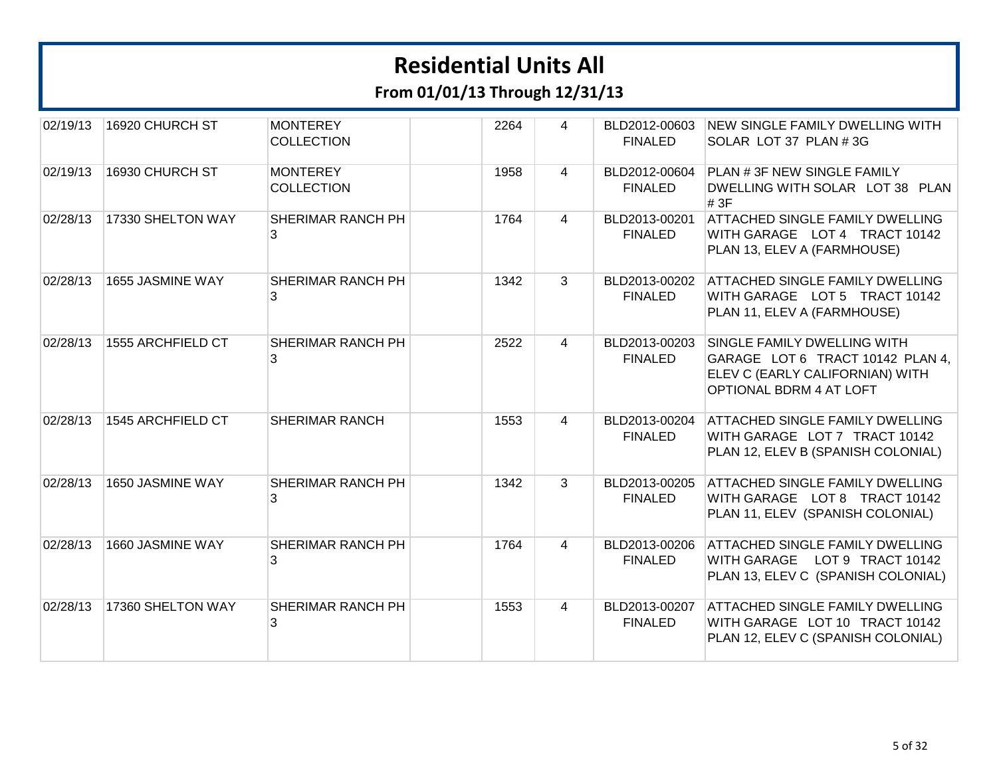| 02/19/13 | 16920 CHURCH ST   | <b>MONTEREY</b><br><b>COLLECTION</b> | 2264 | 4              | BLD2012-00603<br><b>FINALED</b> | NEW SINGLE FAMILY DWELLING WITH<br>SOLAR LOT 37 PLAN # 3G                                                                     |
|----------|-------------------|--------------------------------------|------|----------------|---------------------------------|-------------------------------------------------------------------------------------------------------------------------------|
| 02/19/13 | 16930 CHURCH ST   | <b>MONTEREY</b><br><b>COLLECTION</b> | 1958 | 4              | BLD2012-00604<br><b>FINALED</b> | PLAN # 3F NEW SINGLE FAMILY<br>DWELLING WITH SOLAR LOT 38 PLAN<br># 3F                                                        |
| 02/28/13 | 17330 SHELTON WAY | SHERIMAR RANCH PH<br>3               | 1764 | 4              | BLD2013-00201<br><b>FINALED</b> | <b>ATTACHED SINGLE FAMILY DWELLING</b><br>WITH GARAGE LOT 4 TRACT 10142<br>PLAN 13, ELEV A (FARMHOUSE)                        |
| 02/28/13 | 1655 JASMINE WAY  | SHERIMAR RANCH PH<br>3               | 1342 | $\mathbf{3}$   | BLD2013-00202<br><b>FINALED</b> | ATTACHED SINGLE FAMILY DWELLING<br>WITH GARAGE LOT 5 TRACT 10142<br>PLAN 11, ELEV A (FARMHOUSE)                               |
| 02/28/13 | 1555 ARCHFIELD CT | <b>SHERIMAR RANCH PH</b><br>3        | 2522 | 4              | BLD2013-00203<br><b>FINALED</b> | SINGLE FAMILY DWELLING WITH<br>GARAGE LOT 6 TRACT 10142 PLAN 4,<br>ELEV C (EARLY CALIFORNIAN) WITH<br>OPTIONAL BDRM 4 AT LOFT |
| 02/28/13 | 1545 ARCHFIELD CT | <b>SHERIMAR RANCH</b>                | 1553 | $\overline{4}$ | BLD2013-00204<br><b>FINALED</b> | ATTACHED SINGLE FAMILY DWELLING<br>WITH GARAGE LOT 7 TRACT 10142<br>PLAN 12, ELEV B (SPANISH COLONIAL)                        |
| 02/28/13 | 1650 JASMINE WAY  | SHERIMAR RANCH PH<br>3               | 1342 | $\overline{3}$ | BLD2013-00205<br><b>FINALED</b> | ATTACHED SINGLE FAMILY DWELLING<br>WITH GARAGE LOT 8 TRACT 10142<br>PLAN 11, ELEV (SPANISH COLONIAL)                          |
| 02/28/13 | 1660 JASMINE WAY  | SHERIMAR RANCH PH<br>3               | 1764 | $\overline{4}$ | BLD2013-00206<br><b>FINALED</b> | ATTACHED SINGLE FAMILY DWELLING<br>WITH GARAGE LOT 9 TRACT 10142<br>PLAN 13, ELEV C (SPANISH COLONIAL)                        |
| 02/28/13 | 17360 SHELTON WAY | SHERIMAR RANCH PH<br>3               | 1553 | 4              | BLD2013-00207<br><b>FINALED</b> | ATTACHED SINGLE FAMILY DWELLING<br>WITH GARAGE LOT 10 TRACT 10142<br>PLAN 12, ELEV C (SPANISH COLONIAL)                       |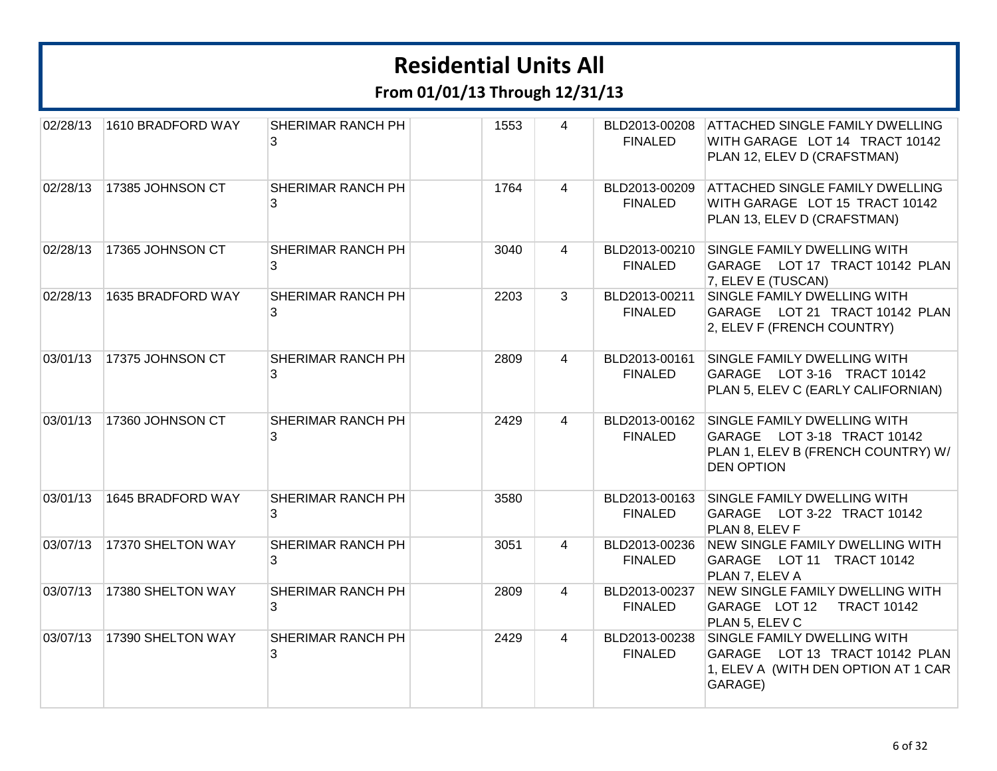| 02/28/13 | 1610 BRADFORD WAY | SHERIMAR RANCH PH<br>3 | 1553 | 4              | BLD2013-00208<br><b>FINALED</b> | <b>ATTACHED SINGLE FAMILY DWELLING</b><br>WITH GARAGE LOT 14 TRACT 10142<br>PLAN 12, ELEV D (CRAFSTMAN)               |
|----------|-------------------|------------------------|------|----------------|---------------------------------|-----------------------------------------------------------------------------------------------------------------------|
| 02/28/13 | 17385 JOHNSON CT  | SHERIMAR RANCH PH<br>3 | 1764 | $\overline{4}$ | BLD2013-00209<br><b>FINALED</b> | <b>ATTACHED SINGLE FAMILY DWELLING</b><br>WITH GARAGE LOT 15 TRACT 10142<br>PLAN 13, ELEV D (CRAFSTMAN)               |
| 02/28/13 | 17365 JOHNSON CT  | SHERIMAR RANCH PH<br>3 | 3040 | $\overline{4}$ | BLD2013-00210<br><b>FINALED</b> | SINGLE FAMILY DWELLING WITH<br>GARAGE LOT 17 TRACT 10142 PLAN<br>7, ELEV E (TUSCAN)                                   |
| 02/28/13 | 1635 BRADFORD WAY | SHERIMAR RANCH PH<br>3 | 2203 | 3              | BLD2013-00211<br><b>FINALED</b> | SINGLE FAMILY DWELLING WITH<br>GARAGE LOT 21 TRACT 10142 PLAN<br>2, ELEV F (FRENCH COUNTRY)                           |
| 03/01/13 | 17375 JOHNSON CT  | SHERIMAR RANCH PH<br>3 | 2809 | $\overline{4}$ | BLD2013-00161<br><b>FINALED</b> | SINGLE FAMILY DWELLING WITH<br>GARAGE LOT 3-16 TRACT 10142<br>PLAN 5, ELEV C (EARLY CALIFORNIAN)                      |
| 03/01/13 | 17360 JOHNSON CT  | SHERIMAR RANCH PH<br>3 | 2429 | 4              | BLD2013-00162<br><b>FINALED</b> | SINGLE FAMILY DWELLING WITH<br>GARAGE LOT 3-18 TRACT 10142<br>PLAN 1, ELEV B (FRENCH COUNTRY) W/<br><b>DEN OPTION</b> |
| 03/01/13 | 1645 BRADFORD WAY | SHERIMAR RANCH PH<br>3 | 3580 |                | BLD2013-00163<br><b>FINALED</b> | SINGLE FAMILY DWELLING WITH<br>GARAGE LOT 3-22 TRACT 10142<br>PLAN 8, ELEV F                                          |
| 03/07/13 | 17370 SHELTON WAY | SHERIMAR RANCH PH<br>3 | 3051 | $\overline{4}$ | BLD2013-00236<br><b>FINALED</b> | <b>NEW SINGLE FAMILY DWELLING WITH</b><br>GARAGE LOT 11 TRACT 10142<br>PLAN 7, ELEV A                                 |
| 03/07/13 | 17380 SHELTON WAY | SHERIMAR RANCH PH<br>3 | 2809 | $\overline{4}$ | BLD2013-00237<br><b>FINALED</b> | <b>NEW SINGLE FAMILY DWELLING WITH</b><br>GARAGE LOT 12<br><b>TRACT 10142</b><br>PLAN 5, ELEV C                       |
| 03/07/13 | 17390 SHELTON WAY | SHERIMAR RANCH PH<br>3 | 2429 | $\overline{4}$ | BLD2013-00238<br><b>FINALED</b> | SINGLE FAMILY DWELLING WITH<br>GARAGE LOT 13 TRACT 10142 PLAN<br>1, ELEV A (WITH DEN OPTION AT 1 CAR<br>GARAGE)       |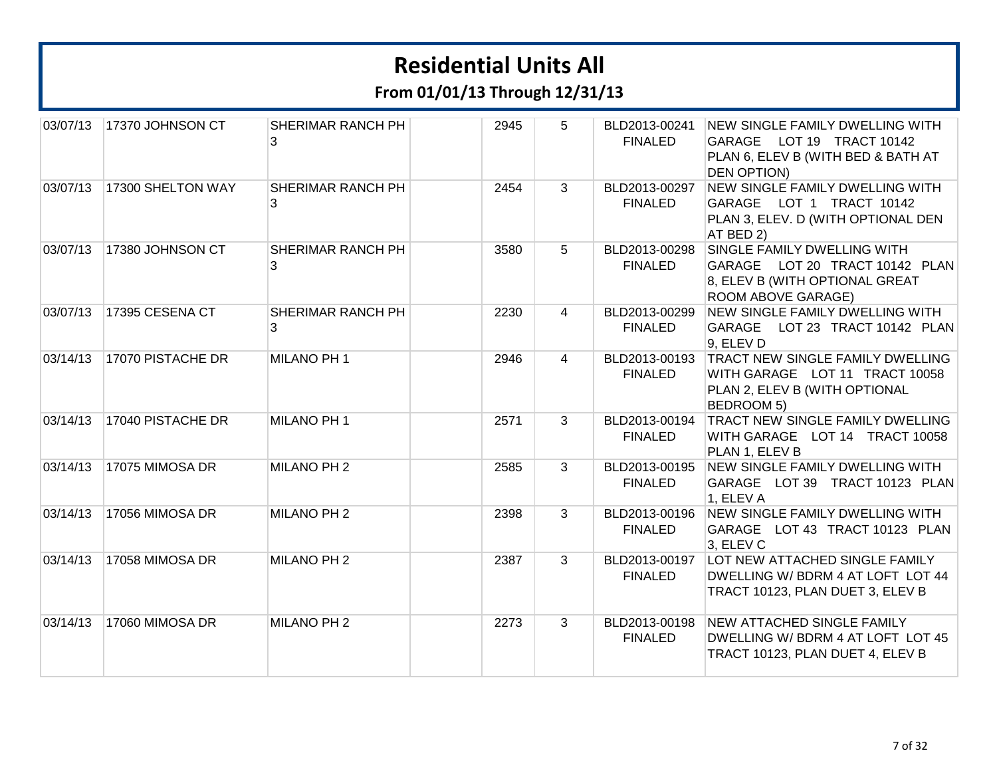| 03/07/13 | 17370 JOHNSON CT  | SHERIMAR RANCH PH<br>3 | 2945 | 5              | BLD2013-00241<br><b>FINALED</b> | <b>NEW SINGLE FAMILY DWELLING WITH</b><br>GARAGE LOT 19 TRACT 10142<br>PLAN 6, ELEV B (WITH BED & BATH AT<br><b>DEN OPTION)</b>        |
|----------|-------------------|------------------------|------|----------------|---------------------------------|----------------------------------------------------------------------------------------------------------------------------------------|
| 03/07/13 | 17300 SHELTON WAY | SHERIMAR RANCH PH<br>3 | 2454 | 3              | BLD2013-00297<br><b>FINALED</b> | <b>NEW SINGLE FAMILY DWELLING WITH</b><br>GARAGE LOT 1 TRACT 10142<br>PLAN 3, ELEV. D (WITH OPTIONAL DEN<br>AT BED 2)                  |
| 03/07/13 | 17380 JOHNSON CT  | SHERIMAR RANCH PH<br>3 | 3580 | 5 <sup>5</sup> | BLD2013-00298<br><b>FINALED</b> | SINGLE FAMILY DWELLING WITH<br>GARAGE LOT 20 TRACT 10142 PLAN<br>8, ELEV B (WITH OPTIONAL GREAT<br>ROOM ABOVE GARAGE)                  |
| 03/07/13 | 17395 CESENA CT   | SHERIMAR RANCH PH<br>3 | 2230 | $\overline{4}$ | BLD2013-00299<br><b>FINALED</b> | <b>NEW SINGLE FAMILY DWELLING WITH</b><br>GARAGE LOT 23 TRACT 10142 PLAN<br>9, ELEV D                                                  |
| 03/14/13 | 17070 PISTACHE DR | MILANO PH 1            | 2946 | $\overline{4}$ | <b>FINALED</b>                  | BLD2013-00193 TRACT NEW SINGLE FAMILY DWELLING<br>WITH GARAGE LOT 11 TRACT 10058<br>PLAN 2, ELEV B (WITH OPTIONAL<br><b>BEDROOM 5)</b> |
| 03/14/13 | 17040 PISTACHE DR | MILANO PH 1            | 2571 | 3              | BLD2013-00194<br><b>FINALED</b> | TRACT NEW SINGLE FAMILY DWELLING<br>WITH GARAGE LOT 14 TRACT 10058<br>PLAN 1, ELEV B                                                   |
| 03/14/13 | 17075 MIMOSA DR   | MILANO PH 2            | 2585 | 3              | BLD2013-00195<br><b>FINALED</b> | NEW SINGLE FAMILY DWELLING WITH<br>GARAGE LOT 39 TRACT 10123 PLAN<br>1, ELEV A                                                         |
| 03/14/13 | 17056 MIMOSA DR   | MILANO PH 2            | 2398 | 3              | BLD2013-00196<br><b>FINALED</b> | <b>NEW SINGLE FAMILY DWELLING WITH</b><br>GARAGE LOT 43 TRACT 10123 PLAN<br>3, ELEV C                                                  |
| 03/14/13 | 17058 MIMOSA DR   | MILANO PH 2            | 2387 | $\mathbf{3}$   | BLD2013-00197<br><b>FINALED</b> | LOT NEW ATTACHED SINGLE FAMILY<br>DWELLING W/ BDRM 4 AT LOFT LOT 44<br>TRACT 10123, PLAN DUET 3, ELEV B                                |
| 03/14/13 | 17060 MIMOSA DR   | MILANO PH 2            | 2273 | 3              | BLD2013-00198<br><b>FINALED</b> | <b>NEW ATTACHED SINGLE FAMILY</b><br>DWELLING W/ BDRM 4 AT LOFT LOT 45<br>TRACT 10123, PLAN DUET 4, ELEV B                             |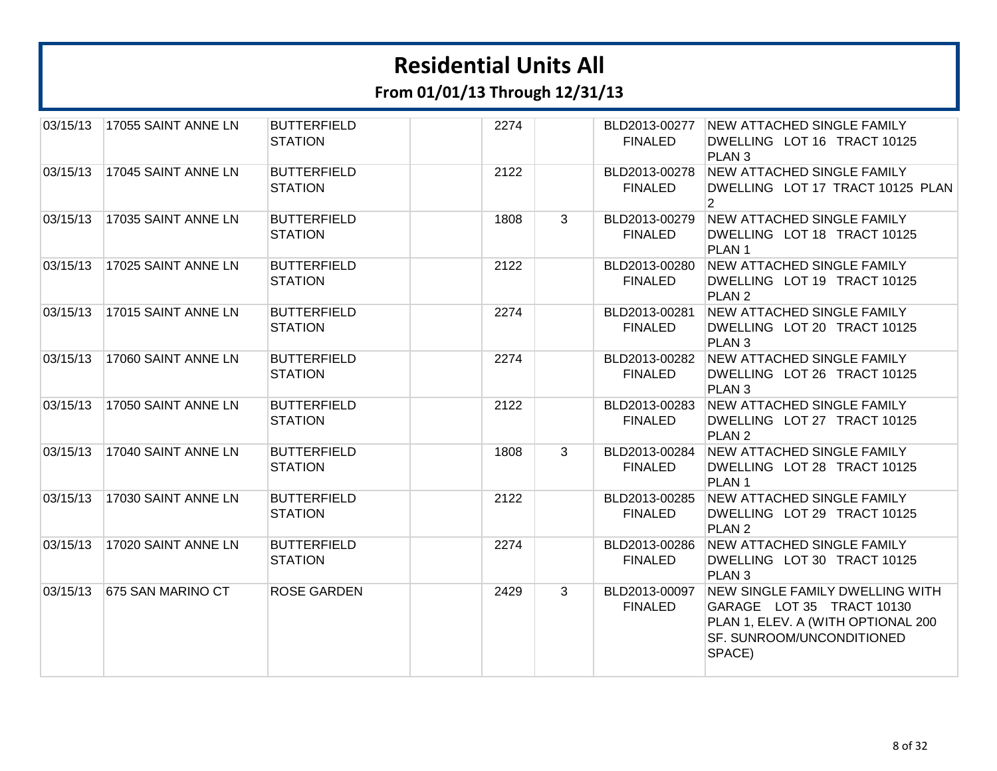**From 01/01/13 Through 12/31/13**

| 03/15/13 | 17055 SAINT ANNE LN | <b>BUTTERFIELD</b><br><b>STATION</b> | 2274 |   | <b>FINALED</b>                  | BLD2013-00277 NEW ATTACHED SINGLE FAMILY<br>DWELLING LOT 16 TRACT 10125<br>PLAN <sub>3</sub>                                              |
|----------|---------------------|--------------------------------------|------|---|---------------------------------|-------------------------------------------------------------------------------------------------------------------------------------------|
| 03/15/13 | 17045 SAINT ANNE LN | <b>BUTTERFIELD</b><br><b>STATION</b> | 2122 |   | BLD2013-00278<br><b>FINALED</b> | NEW ATTACHED SINGLE FAMILY<br>DWELLING LOT 17 TRACT 10125 PLAN<br>$\overline{2}$                                                          |
| 03/15/13 | 17035 SAINT ANNE LN | <b>BUTTERFIELD</b><br><b>STATION</b> | 1808 | 3 | <b>FINALED</b>                  | BLD2013-00279 NEW ATTACHED SINGLE FAMILY<br>DWELLING LOT 18 TRACT 10125<br>PLAN <sub>1</sub>                                              |
| 03/15/13 | 17025 SAINT ANNE LN | <b>BUTTERFIELD</b><br><b>STATION</b> | 2122 |   | BLD2013-00280<br><b>FINALED</b> | <b>NEW ATTACHED SINGLE FAMILY</b><br>DWELLING LOT 19 TRACT 10125<br>PLAN <sub>2</sub>                                                     |
| 03/15/13 | 17015 SAINT ANNE LN | <b>BUTTERFIELD</b><br><b>STATION</b> | 2274 |   | BLD2013-00281<br><b>FINALED</b> | <b>NEW ATTACHED SINGLE FAMILY</b><br>DWELLING LOT 20 TRACT 10125<br>PLAN <sub>3</sub>                                                     |
| 03/15/13 | 17060 SAINT ANNE LN | <b>BUTTERFIELD</b><br><b>STATION</b> | 2274 |   | BLD2013-00282<br><b>FINALED</b> | <b>NEW ATTACHED SINGLE FAMILY</b><br>DWELLING LOT 26 TRACT 10125<br>PLAN <sub>3</sub>                                                     |
| 03/15/13 | 17050 SAINT ANNE LN | <b>BUTTERFIELD</b><br><b>STATION</b> | 2122 |   | BLD2013-00283<br><b>FINALED</b> | <b>NEW ATTACHED SINGLE FAMILY</b><br>DWELLING LOT 27 TRACT 10125<br>PLAN <sub>2</sub>                                                     |
| 03/15/13 | 17040 SAINT ANNE LN | <b>BUTTERFIELD</b><br><b>STATION</b> | 1808 | 3 | <b>FINALED</b>                  | BLD2013-00284 NEW ATTACHED SINGLE FAMILY<br>DWELLING LOT 28 TRACT 10125<br>PLAN <sub>1</sub>                                              |
| 03/15/13 | 17030 SAINT ANNE LN | <b>BUTTERFIELD</b><br><b>STATION</b> | 2122 |   | BLD2013-00285<br><b>FINALED</b> | NEW ATTACHED SINGLE FAMILY<br>DWELLING LOT 29 TRACT 10125<br>PLAN <sub>2</sub>                                                            |
| 03/15/13 | 17020 SAINT ANNE LN | <b>BUTTERFIELD</b><br><b>STATION</b> | 2274 |   | BLD2013-00286<br><b>FINALED</b> | <b>NEW ATTACHED SINGLE FAMILY</b><br>DWELLING LOT 30 TRACT 10125<br>PLAN <sub>3</sub>                                                     |
| 03/15/13 | 675 SAN MARINO CT   | <b>ROSE GARDEN</b>                   | 2429 | 3 | BLD2013-00097<br><b>FINALED</b> | NEW SINGLE FAMILY DWELLING WITH<br>GARAGE LOT 35 TRACT 10130<br>PLAN 1, ELEV. A (WITH OPTIONAL 200<br>SF. SUNROOM/UNCONDITIONED<br>SPACE) |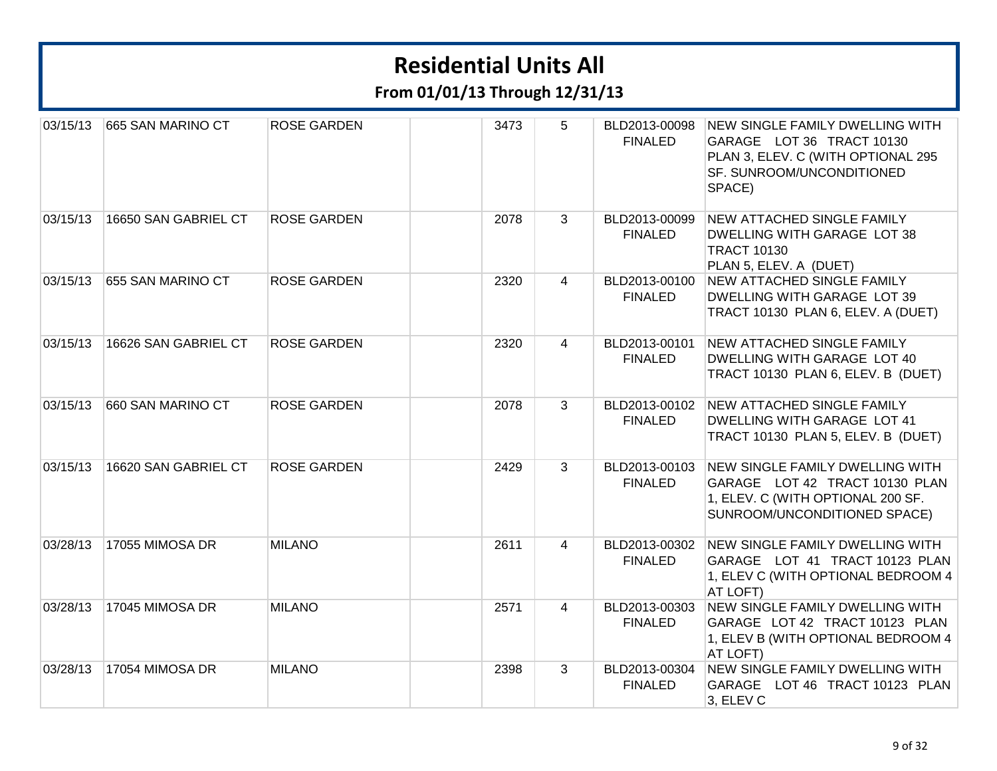| 03/15/13 | 665 SAN MARINO CT    | <b>ROSE GARDEN</b> | 3473 | 5              | BLD2013-00098<br><b>FINALED</b> | <b>NEW SINGLE FAMILY DWELLING WITH</b><br>GARAGE LOT 36 TRACT 10130<br>PLAN 3, ELEV. C (WITH OPTIONAL 295<br>SF. SUNROOM/UNCONDITIONED<br>SPACE) |
|----------|----------------------|--------------------|------|----------------|---------------------------------|--------------------------------------------------------------------------------------------------------------------------------------------------|
| 03/15/13 | 16650 SAN GABRIEL CT | <b>ROSE GARDEN</b> | 2078 | 3              | BLD2013-00099<br><b>FINALED</b> | <b>NEW ATTACHED SINGLE FAMILY</b><br>DWELLING WITH GARAGE LOT 38<br><b>TRACT 10130</b><br>PLAN 5, ELEV. A (DUET)                                 |
| 03/15/13 | 655 SAN MARINO CT    | <b>ROSE GARDEN</b> | 2320 | $\overline{4}$ | BLD2013-00100<br><b>FINALED</b> | NEW ATTACHED SINGLE FAMILY<br>DWELLING WITH GARAGE LOT 39<br>TRACT 10130 PLAN 6, ELEV. A (DUET)                                                  |
| 03/15/13 | 16626 SAN GABRIEL CT | <b>ROSE GARDEN</b> | 2320 | $\overline{4}$ | BLD2013-00101<br><b>FINALED</b> | NEW ATTACHED SINGLE FAMILY<br>DWELLING WITH GARAGE LOT 40<br>TRACT 10130 PLAN 6, ELEV. B (DUET)                                                  |
| 03/15/13 | 660 SAN MARINO CT    | <b>ROSE GARDEN</b> | 2078 | 3              | <b>FINALED</b>                  | BLD2013-00102 NEW ATTACHED SINGLE FAMILY<br>DWELLING WITH GARAGE LOT 41<br>TRACT 10130 PLAN 5, ELEV. B (DUET)                                    |
| 03/15/13 | 16620 SAN GABRIEL CT | <b>ROSE GARDEN</b> | 2429 | 3              | BLD2013-00103<br><b>FINALED</b> | NEW SINGLE FAMILY DWELLING WITH<br>GARAGE LOT 42 TRACT 10130 PLAN<br>1, ELEV. C (WITH OPTIONAL 200 SF.<br>SUNROOM/UNCONDITIONED SPACE)           |
| 03/28/13 | 17055 MIMOSA DR      | <b>MILANO</b>      | 2611 | $\overline{4}$ | BLD2013-00302<br><b>FINALED</b> | NEW SINGLE FAMILY DWELLING WITH<br>GARAGE LOT 41 TRACT 10123 PLAN<br>1, ELEV C (WITH OPTIONAL BEDROOM 4<br>AT LOFT)                              |
| 03/28/13 | 17045 MIMOSA DR      | <b>MILANO</b>      | 2571 | $\overline{4}$ | BLD2013-00303<br><b>FINALED</b> | NEW SINGLE FAMILY DWELLING WITH<br>GARAGE LOT 42 TRACT 10123 PLAN<br>1, ELEV B (WITH OPTIONAL BEDROOM 4<br>AT LOFT)                              |
| 03/28/13 | 17054 MIMOSA DR      | <b>MILANO</b>      | 2398 | 3              | BLD2013-00304<br><b>FINALED</b> | <b>NEW SINGLE FAMILY DWELLING WITH</b><br>GARAGE LOT 46 TRACT 10123 PLAN<br>3, ELEV C                                                            |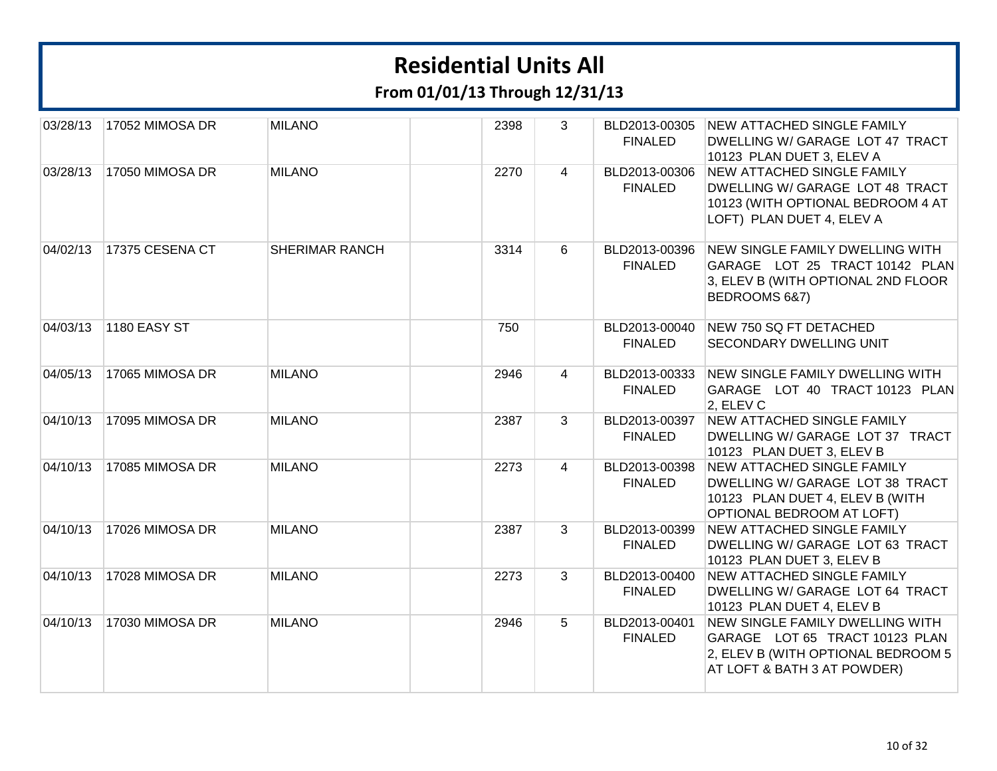**From 01/01/13 Through 12/31/13**

| 03/28/13 | 17052 MIMOSA DR | <b>MILANO</b>         | 2398 | 3              | BLD2013-00305<br><b>FINALED</b> | <b>NEW ATTACHED SINGLE FAMILY</b><br>DWELLING W/ GARAGE LOT 47 TRACT<br>10123 PLAN DUET 3, ELEV A                                      |
|----------|-----------------|-----------------------|------|----------------|---------------------------------|----------------------------------------------------------------------------------------------------------------------------------------|
| 03/28/13 | 17050 MIMOSA DR | <b>MILANO</b>         | 2270 | $\overline{4}$ | BLD2013-00306<br><b>FINALED</b> | <b>NEW ATTACHED SINGLE FAMILY</b><br>DWELLING W/ GARAGE LOT 48 TRACT<br>10123 (WITH OPTIONAL BEDROOM 4 AT<br>LOFT) PLAN DUET 4, ELEV A |
| 04/02/13 | 17375 CESENA CT | <b>SHERIMAR RANCH</b> | 3314 | 6              | BLD2013-00396<br><b>FINALED</b> | NEW SINGLE FAMILY DWELLING WITH<br>GARAGE LOT 25 TRACT 10142 PLAN<br>3, ELEV B (WITH OPTIONAL 2ND FLOOR<br>BEDROOMS 6&7)               |
| 04/03/13 | 1180 EASY ST    |                       | 750  |                | BLD2013-00040<br><b>FINALED</b> | NEW 750 SQ FT DETACHED<br>SECONDARY DWELLING UNIT                                                                                      |
| 04/05/13 | 17065 MIMOSA DR | <b>MILANO</b>         | 2946 | $\overline{4}$ | BLD2013-00333<br><b>FINALED</b> | NEW SINGLE FAMILY DWELLING WITH<br>GARAGE LOT 40 TRACT 10123 PLAN<br>2, ELEV C                                                         |
| 04/10/13 | 17095 MIMOSA DR | <b>MILANO</b>         | 2387 | 3              | BLD2013-00397<br><b>FINALED</b> | NEW ATTACHED SINGLE FAMILY<br>DWELLING W/ GARAGE LOT 37 TRACT<br>10123 PLAN DUET 3, ELEV B                                             |
| 04/10/13 | 17085 MIMOSA DR | <b>MILANO</b>         | 2273 | $\overline{4}$ | BLD2013-00398<br><b>FINALED</b> | NEW ATTACHED SINGLE FAMILY<br>DWELLING W/ GARAGE LOT 38 TRACT<br>10123 PLAN DUET 4, ELEV B (WITH<br>OPTIONAL BEDROOM AT LOFT)          |
| 04/10/13 | 17026 MIMOSA DR | <b>MILANO</b>         | 2387 | 3              | BLD2013-00399<br><b>FINALED</b> | <b>NEW ATTACHED SINGLE FAMILY</b><br>DWELLING W/ GARAGE LOT 63 TRACT<br>10123 PLAN DUET 3, ELEV B                                      |
| 04/10/13 | 17028 MIMOSA DR | <b>MILANO</b>         | 2273 | 3              | BLD2013-00400<br><b>FINALED</b> | NEW ATTACHED SINGLE FAMILY<br>DWELLING W/ GARAGE LOT 64 TRACT<br>10123 PLAN DUET 4, ELEV B                                             |
| 04/10/13 | 17030 MIMOSA DR | <b>MILANO</b>         | 2946 | 5              | BLD2013-00401<br><b>FINALED</b> | NEW SINGLE FAMILY DWELLING WITH<br>GARAGE LOT 65 TRACT 10123 PLAN<br>2, ELEV B (WITH OPTIONAL BEDROOM 5<br>AT LOFT & BATH 3 AT POWDER) |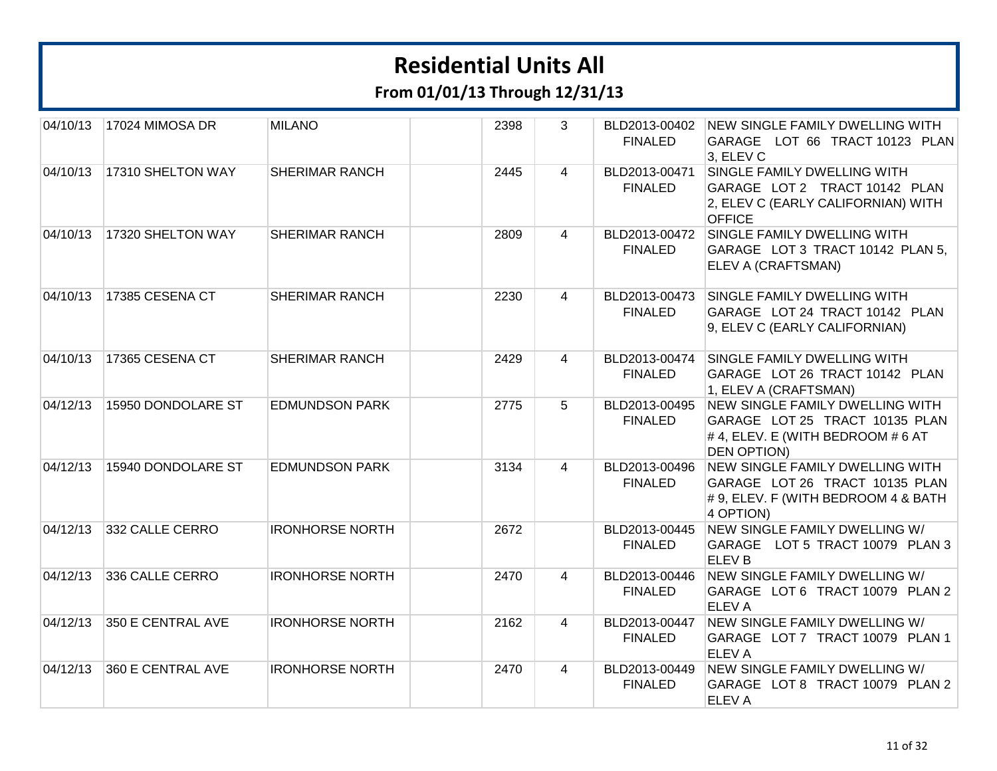**From 01/01/13 Through 12/31/13**

| 04/10/13 | 17024 MIMOSA DR    | <b>MILANO</b>          | 2398 | 3              | <b>FINALED</b>                  | BLD2013-00402 NEW SINGLE FAMILY DWELLING WITH<br>GARAGE LOT 66 TRACT 10123 PLAN<br>3. ELEV C                               |
|----------|--------------------|------------------------|------|----------------|---------------------------------|----------------------------------------------------------------------------------------------------------------------------|
| 04/10/13 | 17310 SHELTON WAY  | <b>SHERIMAR RANCH</b>  | 2445 | 4              | BLD2013-00471<br><b>FINALED</b> | SINGLE FAMILY DWELLING WITH<br>GARAGE LOT 2 TRACT 10142 PLAN<br>2, ELEV C (EARLY CALIFORNIAN) WITH<br><b>OFFICE</b>        |
| 04/10/13 | 17320 SHELTON WAY  | <b>SHERIMAR RANCH</b>  | 2809 | 4              | <b>FINALED</b>                  | BLD2013-00472 SINGLE FAMILY DWELLING WITH<br>GARAGE LOT 3 TRACT 10142 PLAN 5.<br>ELEV A (CRAFTSMAN)                        |
| 04/10/13 | 17385 CESENA CT    | <b>SHERIMAR RANCH</b>  | 2230 | 4              | BLD2013-00473<br><b>FINALED</b> | SINGLE FAMILY DWELLING WITH<br>GARAGE LOT 24 TRACT 10142 PLAN<br>9, ELEV C (EARLY CALIFORNIAN)                             |
| 04/10/13 | 17365 CESENA CT    | <b>SHERIMAR RANCH</b>  | 2429 | $\overline{4}$ | BLD2013-00474<br><b>FINALED</b> | SINGLE FAMILY DWELLING WITH<br>GARAGE LOT 26 TRACT 10142 PLAN<br>1, ELEV A (CRAFTSMAN)                                     |
| 04/12/13 | 15950 DONDOLARE ST | <b>EDMUNDSON PARK</b>  | 2775 | 5              | BLD2013-00495<br><b>FINALED</b> | NEW SINGLE FAMILY DWELLING WITH<br>GARAGE LOT 25 TRACT 10135 PLAN<br>#4, ELEV. E (WITH BEDROOM #6 AT<br><b>DEN OPTION)</b> |
| 04/12/13 | 15940 DONDOLARE ST | <b>EDMUNDSON PARK</b>  | 3134 | $\overline{4}$ | BLD2013-00496<br><b>FINALED</b> | NEW SINGLE FAMILY DWELLING WITH<br>GARAGE LOT 26 TRACT 10135 PLAN<br># 9, ELEV. F (WITH BEDROOM 4 & BATH<br>4 OPTION)      |
| 04/12/13 | 332 CALLE CERRO    | <b>IRONHORSE NORTH</b> | 2672 |                | BLD2013-00445<br><b>FINALED</b> | NEW SINGLE FAMILY DWELLING W/<br>GARAGE LOT 5 TRACT 10079 PLAN 3<br><b>ELEV B</b>                                          |
| 04/12/13 | 336 CALLE CERRO    | <b>IRONHORSE NORTH</b> | 2470 | 4              | <b>FINALED</b>                  | BLD2013-00446 NEW SINGLE FAMILY DWELLING W/<br>GARAGE LOT 6 TRACT 10079 PLAN 2<br><b>ELEVA</b>                             |
| 04/12/13 | 350 E CENTRAL AVE  | <b>IRONHORSE NORTH</b> | 2162 | 4              | BLD2013-00447<br><b>FINALED</b> | NEW SINGLE FAMILY DWELLING W/<br>GARAGE LOT 7 TRACT 10079 PLAN 1<br><b>ELEVA</b>                                           |
| 04/12/13 | 360 E CENTRAL AVE  | <b>IRONHORSE NORTH</b> | 2470 | 4              | BLD2013-00449<br><b>FINALED</b> | NEW SINGLE FAMILY DWELLING W/<br>GARAGE LOT 8 TRACT 10079 PLAN 2<br><b>ELEVA</b>                                           |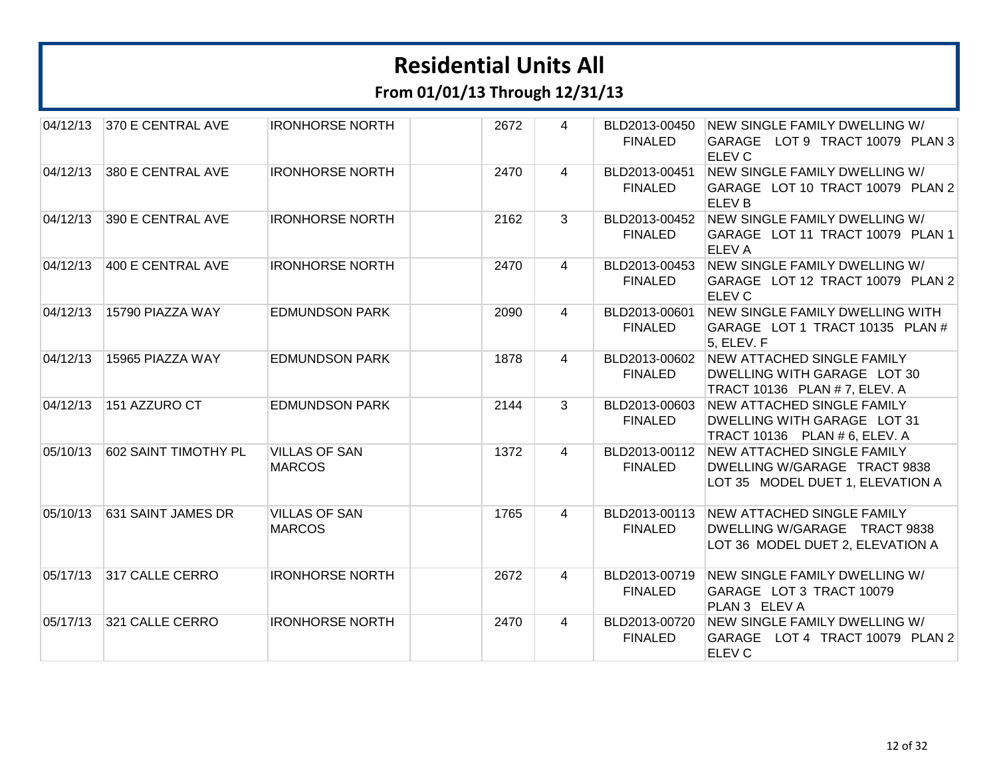**From 01/01/13 Through 12/31/13**

| 04/12/13 | 370 E CENTRAL AVE    | <b>IRONHORSE NORTH</b>                | 2672 | $\overline{4}$ | BLD2013-00450<br><b>FINALED</b> | NEW SINGLE FAMILY DWELLING W/<br>GARAGE LOT 9 TRACT 10079 PLAN 3<br>ELEV <sub>C</sub>                 |
|----------|----------------------|---------------------------------------|------|----------------|---------------------------------|-------------------------------------------------------------------------------------------------------|
| 04/12/13 | 380 E CENTRAL AVE    | <b>IRONHORSE NORTH</b>                | 2470 | $\overline{4}$ | BLD2013-00451<br><b>FINALED</b> | NEW SINGLE FAMILY DWELLING W/<br>GARAGE LOT 10 TRACT 10079 PLAN 2<br><b>ELEV B</b>                    |
| 04/12/13 | 390 E CENTRAL AVE    | <b>IRONHORSE NORTH</b>                | 2162 | $\mathbf{3}$   | BLD2013-00452<br><b>FINALED</b> | NEW SINGLE FAMILY DWELLING W/<br>GARAGE LOT 11 TRACT 10079 PLAN 1<br><b>ELEVA</b>                     |
| 04/12/13 | 400 E CENTRAL AVE    | <b>IRONHORSE NORTH</b>                | 2470 | 4              | BLD2013-00453<br><b>FINALED</b> | NEW SINGLE FAMILY DWELLING W/<br>GARAGE LOT 12 TRACT 10079 PLAN 2<br>ELEV <sub>C</sub>                |
| 04/12/13 | 15790 PIAZZA WAY     | <b>EDMUNDSON PARK</b>                 | 2090 | $\overline{4}$ | BLD2013-00601<br><b>FINALED</b> | NEW SINGLE FAMILY DWELLING WITH<br>GARAGE LOT 1 TRACT 10135 PLAN #<br>5, ELEV. F                      |
| 04/12/13 | 15965 PIAZZA WAY     | <b>EDMUNDSON PARK</b>                 | 1878 | 4              | BLD2013-00602<br><b>FINALED</b> | <b>NEW ATTACHED SINGLE FAMILY</b><br>DWELLING WITH GARAGE LOT 30<br>TRACT 10136 PLAN # 7, ELEV. A     |
| 04/12/13 | 151 AZZURO CT        | <b>EDMUNDSON PARK</b>                 | 2144 | 3              | BLD2013-00603<br><b>FINALED</b> | NEW ATTACHED SINGLE FAMILY<br>DWELLING WITH GARAGE LOT 31<br>TRACT 10136 PLAN # 6, ELEV. A            |
| 05/10/13 | 602 SAINT TIMOTHY PL | <b>VILLAS OF SAN</b><br><b>MARCOS</b> | 1372 | $\overline{4}$ | BLD2013-00112<br><b>FINALED</b> | <b>NEW ATTACHED SINGLE FAMILY</b><br>DWELLING W/GARAGE TRACT 9838<br>LOT 35 MODEL DUET 1, ELEVATION A |
| 05/10/13 | 631 SAINT JAMES DR   | <b>VILLAS OF SAN</b><br><b>MARCOS</b> | 1765 | $\overline{4}$ | BLD2013-00113<br><b>FINALED</b> | NEW ATTACHED SINGLE FAMILY<br>DWELLING W/GARAGE TRACT 9838<br>LOT 36 MODEL DUET 2, ELEVATION A        |
| 05/17/13 | 317 CALLE CERRO      | <b>IRONHORSE NORTH</b>                | 2672 | 4              | BLD2013-00719<br><b>FINALED</b> | NEW SINGLE FAMILY DWELLING W/<br>GARAGE LOT 3 TRACT 10079<br>PLAN 3 ELEV A                            |
| 05/17/13 | 321 CALLE CERRO      | <b>IRONHORSE NORTH</b>                | 2470 | $\overline{4}$ | BLD2013-00720<br><b>FINALED</b> | NEW SINGLE FAMILY DWELLING W/<br>GARAGE LOT 4 TRACT 10079 PLAN 2<br>ELEV <sub>C</sub>                 |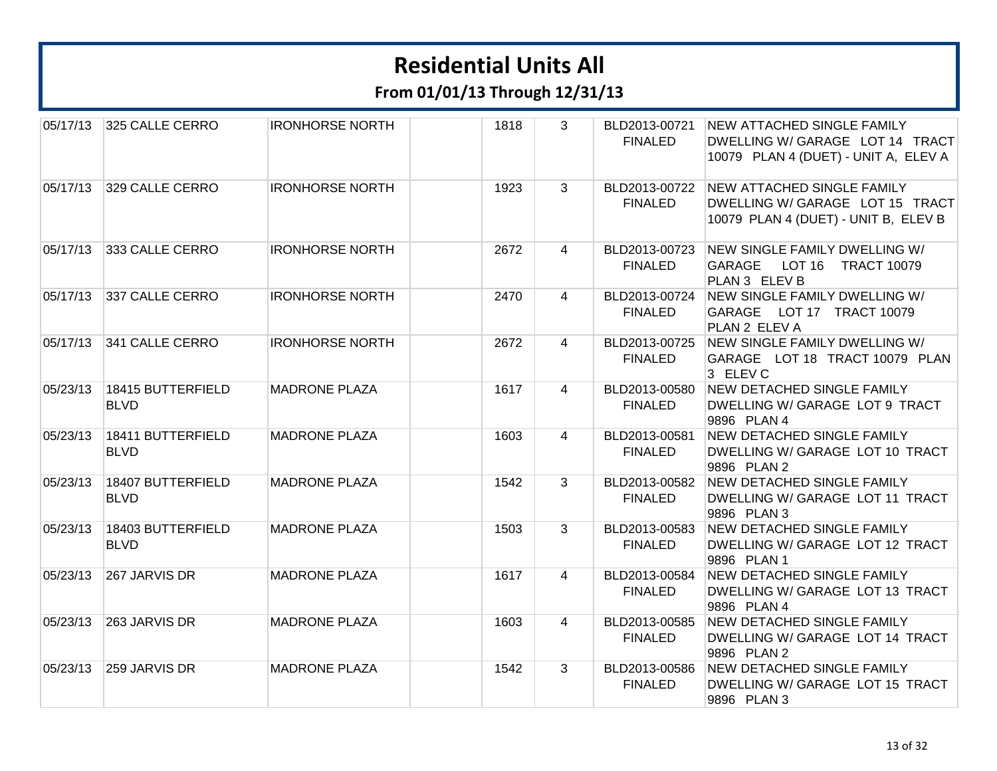| 05/17/13 | 325 CALLE CERRO                  | <b>IRONHORSE NORTH</b> | 1818 | 3 | BLD2013-00721<br><b>FINALED</b> | <b>NEW ATTACHED SINGLE FAMILY</b><br>DWELLING W/ GARAGE LOT 14 TRACT<br>10079 PLAN 4 (DUET) - UNIT A, ELEV A |
|----------|----------------------------------|------------------------|------|---|---------------------------------|--------------------------------------------------------------------------------------------------------------|
| 05/17/13 | 329 CALLE CERRO                  | <b>IRONHORSE NORTH</b> | 1923 | 3 | BLD2013-00722<br><b>FINALED</b> | <b>NEW ATTACHED SINGLE FAMILY</b><br>DWELLING W/ GARAGE LOT 15 TRACT<br>10079 PLAN 4 (DUET) - UNIT B, ELEV B |
| 05/17/13 | 333 CALLE CERRO                  | <b>IRONHORSE NORTH</b> | 2672 | 4 | BLD2013-00723<br><b>FINALED</b> | NEW SINGLE FAMILY DWELLING W/<br><b>GARAGE</b><br>LOT 16<br><b>TRACT 10079</b><br>PLAN 3 ELEV B              |
| 05/17/13 | 337 CALLE CERRO                  | <b>IRONHORSE NORTH</b> | 2470 | 4 | BLD2013-00724<br><b>FINALED</b> | NEW SINGLE FAMILY DWELLING W/<br>GARAGE LOT 17 TRACT 10079<br>PLAN 2 ELEV A                                  |
| 05/17/13 | 341 CALLE CERRO                  | <b>IRONHORSE NORTH</b> | 2672 | 4 | BLD2013-00725<br><b>FINALED</b> | NEW SINGLE FAMILY DWELLING W/<br>GARAGE LOT 18 TRACT 10079 PLAN<br>3 ELEV C                                  |
| 05/23/13 | 18415 BUTTERFIELD<br><b>BLVD</b> | <b>MADRONE PLAZA</b>   | 1617 | 4 | BLD2013-00580<br><b>FINALED</b> | <b>NEW DETACHED SINGLE FAMILY</b><br>DWELLING W/ GARAGE LOT 9 TRACT<br>9896 PLAN 4                           |
| 05/23/13 | 18411 BUTTERFIELD<br><b>BLVD</b> | <b>MADRONE PLAZA</b>   | 1603 | 4 | BLD2013-00581<br><b>FINALED</b> | <b>NEW DETACHED SINGLE FAMILY</b><br>DWELLING W/ GARAGE LOT 10 TRACT<br>9896 PLAN 2                          |
| 05/23/13 | 18407 BUTTERFIELD<br><b>BLVD</b> | <b>MADRONE PLAZA</b>   | 1542 | 3 | BLD2013-00582<br><b>FINALED</b> | NEW DETACHED SINGLE FAMILY<br>DWELLING W/ GARAGE LOT 11 TRACT<br>9896 PLAN 3                                 |
| 05/23/13 | 18403 BUTTERFIELD<br><b>BLVD</b> | <b>MADRONE PLAZA</b>   | 1503 | 3 | BLD2013-00583<br><b>FINALED</b> | NEW DETACHED SINGLE FAMILY<br>DWELLING W/ GARAGE LOT 12 TRACT<br>9896 PLAN 1                                 |
| 05/23/13 | 267 JARVIS DR                    | <b>MADRONE PLAZA</b>   | 1617 | 4 | BLD2013-00584<br><b>FINALED</b> | <b>NEW DETACHED SINGLE FAMILY</b><br>DWELLING W/ GARAGE LOT 13 TRACT<br>9896 PLAN 4                          |
| 05/23/13 | 263 JARVIS DR                    | <b>MADRONE PLAZA</b>   | 1603 | 4 | BLD2013-00585<br><b>FINALED</b> | NEW DETACHED SINGLE FAMILY<br>DWELLING W/ GARAGE LOT 14 TRACT<br>9896 PLAN 2                                 |
| 05/23/13 | 259 JARVIS DR                    | <b>MADRONE PLAZA</b>   | 1542 | 3 | BLD2013-00586<br><b>FINALED</b> | <b>NEW DETACHED SINGLE FAMILY</b><br>DWELLING W/ GARAGE LOT 15 TRACT<br>9896 PLAN 3                          |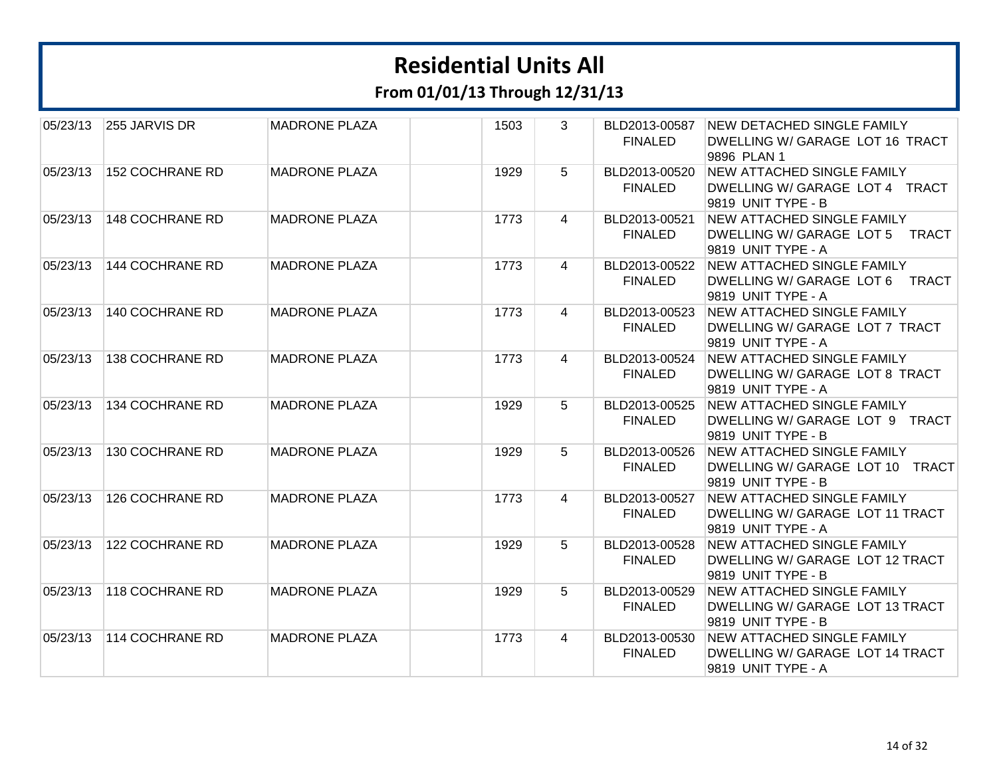**From 01/01/13 Through 12/31/13**

| 05/23/13 | 255 JARVIS DR   | <b>MADRONE PLAZA</b> | 1503<br>3 | BLD2013-00587<br><b>FINALED</b> | NEW DETACHED SINGLE FAMILY<br>DWELLING W/ GARAGE LOT 16 TRACT<br>9896 PLAN 1               |
|----------|-----------------|----------------------|-----------|---------------------------------|--------------------------------------------------------------------------------------------|
| 05/23/13 | 152 COCHRANE RD | <b>MADRONE PLAZA</b> | 1929<br>5 | BLD2013-00520<br><b>FINALED</b> | <b>NEW ATTACHED SINGLE FAMILY</b><br>DWELLING W/ GARAGE LOT 4 TRACT<br>9819 UNIT TYPE - B  |
| 05/23/13 | 148 COCHRANE RD | <b>MADRONE PLAZA</b> | 1773<br>4 | BLD2013-00521<br><b>FINALED</b> | <b>NEW ATTACHED SINGLE FAMILY</b><br>DWELLING W/ GARAGE LOT 5 TRACT<br>9819 UNIT TYPE - A  |
| 05/23/13 | 144 COCHRANE RD | <b>MADRONE PLAZA</b> | 1773<br>4 | BLD2013-00522<br><b>FINALED</b> | <b>NEW ATTACHED SINGLE FAMILY</b><br>DWELLING W/ GARAGE LOT 6 TRACT<br>9819 UNIT TYPE - A  |
| 05/23/13 | 140 COCHRANE RD | <b>MADRONE PLAZA</b> | 1773<br>4 | BLD2013-00523<br><b>FINALED</b> | <b>NEW ATTACHED SINGLE FAMILY</b><br>DWELLING W/ GARAGE LOT 7 TRACT<br>9819 UNIT TYPE - A  |
| 05/23/13 | 138 COCHRANE RD | <b>MADRONE PLAZA</b> | 1773<br>4 | BLD2013-00524<br><b>FINALED</b> | NEW ATTACHED SINGLE FAMILY<br>DWELLING W/ GARAGE LOT 8 TRACT<br>9819 UNIT TYPE - A         |
| 05/23/13 | 134 COCHRANE RD | <b>MADRONE PLAZA</b> | 1929<br>5 | BLD2013-00525<br><b>FINALED</b> | NEW ATTACHED SINGLE FAMILY<br>DWELLING W/ GARAGE LOT 9 TRACT<br>9819 UNIT TYPE - B         |
| 05/23/13 | 130 COCHRANE RD | <b>MADRONE PLAZA</b> | 1929<br>5 | BLD2013-00526<br><b>FINALED</b> | NEW ATTACHED SINGLE FAMILY<br>DWELLING W/ GARAGE LOT 10 TRACT<br>9819 UNIT TYPE - B        |
| 05/23/13 | 126 COCHRANE RD | <b>MADRONE PLAZA</b> | 1773<br>4 | BLD2013-00527<br><b>FINALED</b> | NEW ATTACHED SINGLE FAMILY<br>DWELLING W/ GARAGE LOT 11 TRACT<br>9819 UNIT TYPE - A        |
| 05/23/13 | 122 COCHRANE RD | <b>MADRONE PLAZA</b> | 1929<br>5 | BLD2013-00528<br><b>FINALED</b> | <b>NEW ATTACHED SINGLE FAMILY</b><br>DWELLING W/ GARAGE LOT 12 TRACT<br>9819 UNIT TYPE - B |
| 05/23/13 | 118 COCHRANE RD | <b>MADRONE PLAZA</b> | 1929<br>5 | BLD2013-00529<br><b>FINALED</b> | <b>NEW ATTACHED SINGLE FAMILY</b><br>DWELLING W/ GARAGE LOT 13 TRACT<br>9819 UNIT TYPE - B |
| 05/23/13 | 114 COCHRANE RD | <b>MADRONE PLAZA</b> | 1773<br>4 | BLD2013-00530<br><b>FINALED</b> | <b>NEW ATTACHED SINGLE FAMILY</b><br>DWELLING W/ GARAGE LOT 14 TRACT<br>9819 UNIT TYPE - A |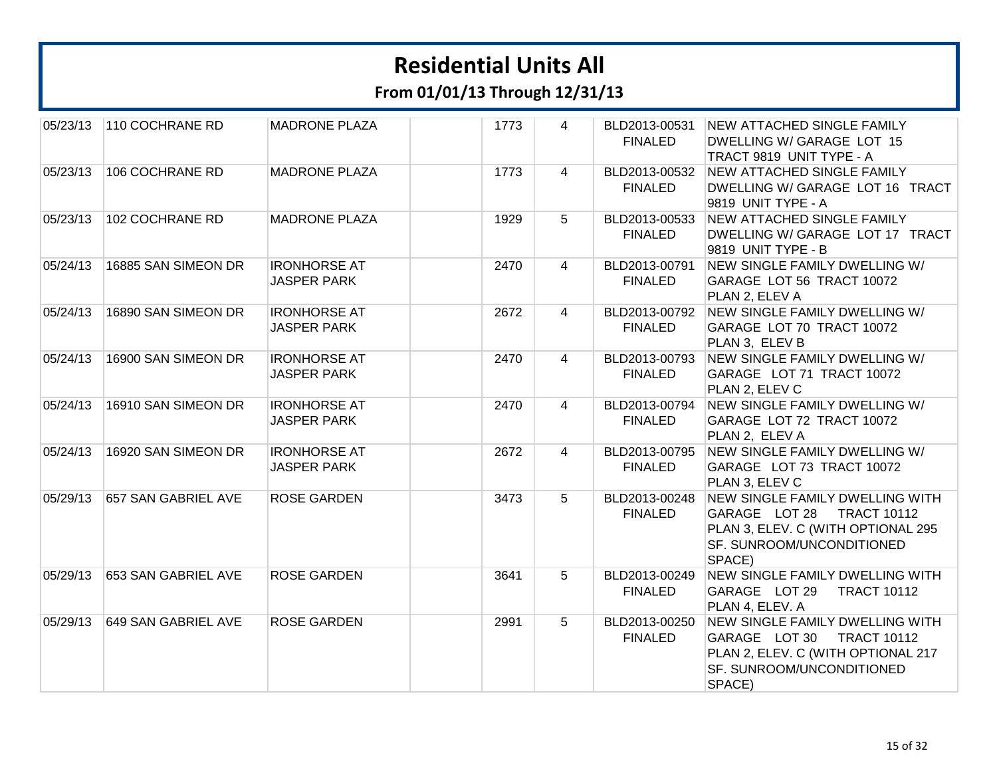| 05/23/13 | 110 COCHRANE RD     | <b>MADRONE PLAZA</b> |      | 1773 | $\overline{4}$ | BLD2013-00531  | NEW ATTACHED SINGLE FAMILY                            |
|----------|---------------------|----------------------|------|------|----------------|----------------|-------------------------------------------------------|
|          |                     |                      |      |      |                | <b>FINALED</b> | DWELLING W/ GARAGE LOT 15                             |
|          |                     |                      |      |      |                |                | TRACT 9819 UNIT TYPE - A                              |
| 05/23/13 | 106 COCHRANE RD     | <b>MADRONE PLAZA</b> |      | 1773 | $\overline{4}$ | BLD2013-00532  | NEW ATTACHED SINGLE FAMILY                            |
|          |                     |                      |      |      |                | <b>FINALED</b> | DWELLING W/ GARAGE LOT 16 TRACT<br>9819 UNIT TYPE - A |
| 05/23/13 | 102 COCHRANE RD     | <b>MADRONE PLAZA</b> |      | 1929 | 5              | BLD2013-00533  | <b>NEW ATTACHED SINGLE FAMILY</b>                     |
|          |                     |                      |      |      |                | <b>FINALED</b> | DWELLING W/ GARAGE LOT 17 TRACT<br>9819 UNIT TYPE - B |
| 05/24/13 | 16885 SAN SIMEON DR | <b>IRONHORSE AT</b>  |      | 2470 | $\overline{4}$ | BLD2013-00791  | NEW SINGLE FAMILY DWELLING W/                         |
|          |                     | <b>JASPER PARK</b>   |      |      |                | <b>FINALED</b> | GARAGE LOT 56 TRACT 10072                             |
|          |                     |                      |      |      |                |                | PLAN 2, ELEV A                                        |
| 05/24/13 | 16890 SAN SIMEON DR | <b>IRONHORSE AT</b>  |      | 2672 | 4              | BLD2013-00792  | NEW SINGLE FAMILY DWELLING W/                         |
|          |                     | <b>JASPER PARK</b>   |      |      |                | <b>FINALED</b> | GARAGE LOT 70 TRACT 10072                             |
|          |                     |                      |      |      |                |                | PLAN 3, ELEV B                                        |
| 05/24/13 | 16900 SAN SIMEON DR | <b>IRONHORSE AT</b>  |      | 2470 | $\overline{4}$ | BLD2013-00793  | NEW SINGLE FAMILY DWELLING W/                         |
|          |                     | <b>JASPER PARK</b>   |      |      |                | <b>FINALED</b> | GARAGE LOT 71 TRACT 10072                             |
|          |                     |                      |      |      |                |                | PLAN 2, ELEV C                                        |
| 05/24/13 | 16910 SAN SIMEON DR | <b>IRONHORSE AT</b>  |      | 2470 | $\overline{4}$ | BLD2013-00794  | NEW SINGLE FAMILY DWELLING W/                         |
|          |                     | <b>JASPER PARK</b>   |      |      |                | <b>FINALED</b> | GARAGE LOT 72 TRACT 10072<br>PLAN 2, ELEV A           |
| 05/24/13 | 16920 SAN SIMEON DR | <b>IRONHORSE AT</b>  |      | 2672 | $\overline{4}$ | BLD2013-00795  | NEW SINGLE FAMILY DWELLING W/                         |
|          |                     | <b>JASPER PARK</b>   |      |      |                | <b>FINALED</b> | GARAGE LOT 73 TRACT 10072                             |
|          |                     |                      |      |      |                |                | PLAN 3, ELEV C                                        |
| 05/29/13 | 657 SAN GABRIEL AVE | <b>ROSE GARDEN</b>   |      | 3473 | 5              | BLD2013-00248  | NEW SINGLE FAMILY DWELLING WITH                       |
|          |                     |                      |      |      |                | <b>FINALED</b> | GARAGE LOT 28 TRACT 10112                             |
|          |                     |                      |      |      |                |                | PLAN 3, ELEV. C (WITH OPTIONAL 295                    |
|          |                     |                      |      |      |                |                | SF. SUNROOM/UNCONDITIONED                             |
|          |                     |                      |      |      |                |                | SPACE)                                                |
| 05/29/13 | 653 SAN GABRIEL AVE | <b>ROSE GARDEN</b>   |      | 3641 | 5              | BLD2013-00249  | <b>NEW SINGLE FAMILY DWELLING WITH</b>                |
|          |                     |                      |      |      |                | <b>FINALED</b> | GARAGE LOT 29<br><b>TRACT 10112</b>                   |
|          |                     |                      |      |      |                |                | PLAN 4, ELEV. A                                       |
| 05/29/13 | 649 SAN GABRIEL AVE | <b>ROSE GARDEN</b>   | 2991 |      | 5              | BLD2013-00250  | NEW SINGLE FAMILY DWELLING WITH                       |
|          |                     |                      |      |      |                | <b>FINALED</b> | GARAGE LOT 30<br><b>TRACT 10112</b>                   |
|          |                     |                      |      |      |                |                | PLAN 2, ELEV. C (WITH OPTIONAL 217                    |
|          |                     |                      |      |      |                |                | SF. SUNROOM/UNCONDITIONED                             |
|          |                     |                      |      |      |                |                | SPACE)                                                |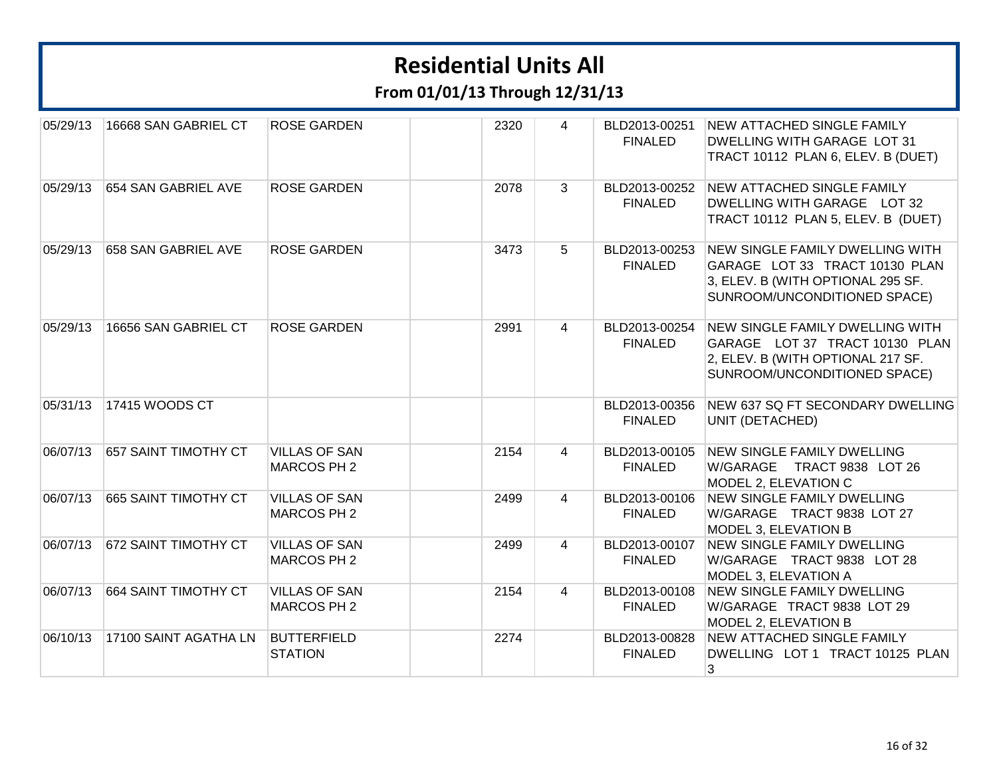| 05/29/13 | 16668 SAN GABRIEL CT  | <b>ROSE GARDEN</b>                   | 2320 | $\overline{4}$ | BLD2013-00251<br><b>FINALED</b> | <b>NEW ATTACHED SINGLE FAMILY</b><br><b>DWELLING WITH GARAGE LOT 31</b><br>TRACT 10112 PLAN 6, ELEV. B (DUET)                                        |
|----------|-----------------------|--------------------------------------|------|----------------|---------------------------------|------------------------------------------------------------------------------------------------------------------------------------------------------|
| 05/29/13 | 654 SAN GABRIEL AVE   | <b>ROSE GARDEN</b>                   | 2078 | 3              | <b>FINALED</b>                  | BLD2013-00252 NEW ATTACHED SINGLE FAMILY<br>DWELLING WITH GARAGE LOT 32<br>TRACT 10112 PLAN 5, ELEV. B (DUET)                                        |
| 05/29/13 | 658 SAN GABRIEL AVE   | <b>ROSE GARDEN</b>                   | 3473 | 5              | <b>FINALED</b>                  | BLD2013-00253 NEW SINGLE FAMILY DWELLING WITH<br>GARAGE LOT 33 TRACT 10130 PLAN<br>3, ELEV. B (WITH OPTIONAL 295 SF.<br>SUNROOM/UNCONDITIONED SPACE) |
| 05/29/13 | 16656 SAN GABRIEL CT  | <b>ROSE GARDEN</b>                   | 2991 | 4              | BLD2013-00254<br><b>FINALED</b> | <b>NEW SINGLE FAMILY DWELLING WITH</b><br>GARAGE LOT 37 TRACT 10130 PLAN<br>2, ELEV. B (WITH OPTIONAL 217 SF.<br>SUNROOM/UNCONDITIONED SPACE)        |
| 05/31/13 | 17415 WOODS CT        |                                      |      |                | BLD2013-00356<br><b>FINALED</b> | NEW 637 SQ FT SECONDARY DWELLING<br>UNIT (DETACHED)                                                                                                  |
| 06/07/13 | 657 SAINT TIMOTHY CT  | <b>VILLAS OF SAN</b><br>MARCOS PH 2  | 2154 | $\overline{4}$ | BLD2013-00105<br><b>FINALED</b> | <b>NEW SINGLE FAMILY DWELLING</b><br>W/GARAGE TRACT 9838 LOT 26<br>MODEL 2, ELEVATION C                                                              |
| 06/07/13 | 665 SAINT TIMOTHY CT  | <b>VILLAS OF SAN</b><br>MARCOS PH 2  | 2499 | $\overline{4}$ | BLD2013-00106<br><b>FINALED</b> | <b>NEW SINGLE FAMILY DWELLING</b><br>W/GARAGE TRACT 9838 LOT 27<br>MODEL 3, ELEVATION B                                                              |
| 06/07/13 | 672 SAINT TIMOTHY CT  | <b>VILLAS OF SAN</b><br>MARCOS PH 2  | 2499 | $\overline{4}$ | BLD2013-00107<br><b>FINALED</b> | <b>NEW SINGLE FAMILY DWELLING</b><br>W/GARAGE TRACT 9838 LOT 28<br>MODEL 3, ELEVATION A                                                              |
| 06/07/13 | 664 SAINT TIMOTHY CT  | <b>VILLAS OF SAN</b><br>MARCOS PH 2  | 2154 | $\overline{4}$ | BLD2013-00108<br><b>FINALED</b> | <b>NEW SINGLE FAMILY DWELLING</b><br>W/GARAGE TRACT 9838 LOT 29<br>MODEL 2, ELEVATION B                                                              |
| 06/10/13 | 17100 SAINT AGATHA LN | <b>BUTTERFIELD</b><br><b>STATION</b> | 2274 |                | BLD2013-00828<br><b>FINALED</b> | <b>NEW ATTACHED SINGLE FAMILY</b><br>DWELLING LOT 1 TRACT 10125 PLAN<br>3                                                                            |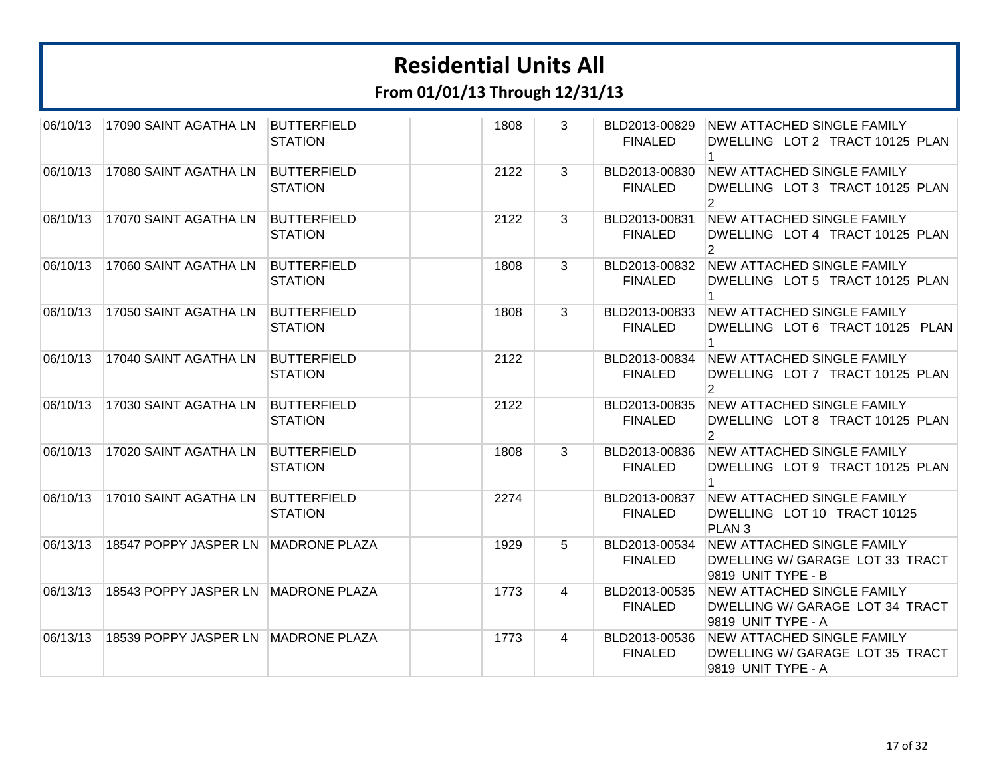| 06/10/13 | 17090 SAINT AGATHA LN               | <b>BUTTERFIELD</b><br><b>STATION</b> | 1808 | 3 | BLD2013-00829<br><b>FINALED</b> | <b>NEW ATTACHED SINGLE FAMILY</b><br>DWELLING LOT 2 TRACT 10125 PLAN                       |
|----------|-------------------------------------|--------------------------------------|------|---|---------------------------------|--------------------------------------------------------------------------------------------|
| 06/10/13 | 17080 SAINT AGATHA LN               | <b>BUTTERFIELD</b><br><b>STATION</b> | 2122 | 3 | BLD2013-00830<br><b>FINALED</b> | <b>NEW ATTACHED SINGLE FAMILY</b><br>DWELLING LOT 3 TRACT 10125 PLAN<br>2                  |
| 06/10/13 | 17070 SAINT AGATHA LN               | <b>BUTTERFIELD</b><br><b>STATION</b> | 2122 | 3 | BLD2013-00831<br><b>FINALED</b> | <b>NEW ATTACHED SINGLE FAMILY</b><br>DWELLING LOT 4 TRACT 10125 PLAN<br>$\overline{2}$     |
| 06/10/13 | 17060 SAINT AGATHA LN               | <b>BUTTERFIELD</b><br><b>STATION</b> | 1808 | 3 | BLD2013-00832<br><b>FINALED</b> | <b>NEW ATTACHED SINGLE FAMILY</b><br>DWELLING LOT 5 TRACT 10125 PLAN                       |
| 06/10/13 | 17050 SAINT AGATHA LN               | <b>BUTTERFIELD</b><br><b>STATION</b> | 1808 | 3 | BLD2013-00833<br><b>FINALED</b> | <b>NEW ATTACHED SINGLE FAMILY</b><br>DWELLING LOT 6 TRACT 10125 PLAN<br>1                  |
| 06/10/13 | 17040 SAINT AGATHA LN               | <b>BUTTERFIELD</b><br><b>STATION</b> | 2122 |   | BLD2013-00834<br><b>FINALED</b> | NEW ATTACHED SINGLE FAMILY<br>DWELLING LOT 7 TRACT 10125 PLAN<br>$\mathcal{P}$             |
| 06/10/13 | 17030 SAINT AGATHA LN               | <b>BUTTERFIELD</b><br><b>STATION</b> | 2122 |   | BLD2013-00835<br><b>FINALED</b> | <b>NEW ATTACHED SINGLE FAMILY</b><br>DWELLING LOT 8 TRACT 10125 PLAN<br>$\overline{2}$     |
| 06/10/13 | 17020 SAINT AGATHA LN               | <b>BUTTERFIELD</b><br><b>STATION</b> | 1808 | 3 | BLD2013-00836<br><b>FINALED</b> | <b>NEW ATTACHED SINGLE FAMILY</b><br>DWELLING LOT 9 TRACT 10125 PLAN                       |
| 06/10/13 | 17010 SAINT AGATHA LN               | <b>BUTTERFIELD</b><br><b>STATION</b> | 2274 |   | BLD2013-00837<br><b>FINALED</b> | <b>NEW ATTACHED SINGLE FAMILY</b><br>DWELLING LOT 10 TRACT 10125<br>PLAN <sub>3</sub>      |
| 06/13/13 | 18547 POPPY JASPER LN               | <b>MADRONE PLAZA</b>                 | 1929 | 5 | BLD2013-00534<br><b>FINALED</b> | <b>NEW ATTACHED SINGLE FAMILY</b><br>DWELLING W/ GARAGE LOT 33 TRACT<br>9819 UNIT TYPE - B |
| 06/13/13 | 18543 POPPY JASPER LN MADRONE PLAZA |                                      | 1773 | 4 | BLD2013-00535<br><b>FINALED</b> | <b>NEW ATTACHED SINGLE FAMILY</b><br>DWELLING W/ GARAGE LOT 34 TRACT<br>9819 UNIT TYPE - A |
| 06/13/13 | 18539 POPPY JASPER LN MADRONE PLAZA |                                      | 1773 | 4 | BLD2013-00536<br><b>FINALED</b> | <b>NEW ATTACHED SINGLE FAMILY</b><br>DWELLING W/ GARAGE LOT 35 TRACT<br>9819 UNIT TYPE - A |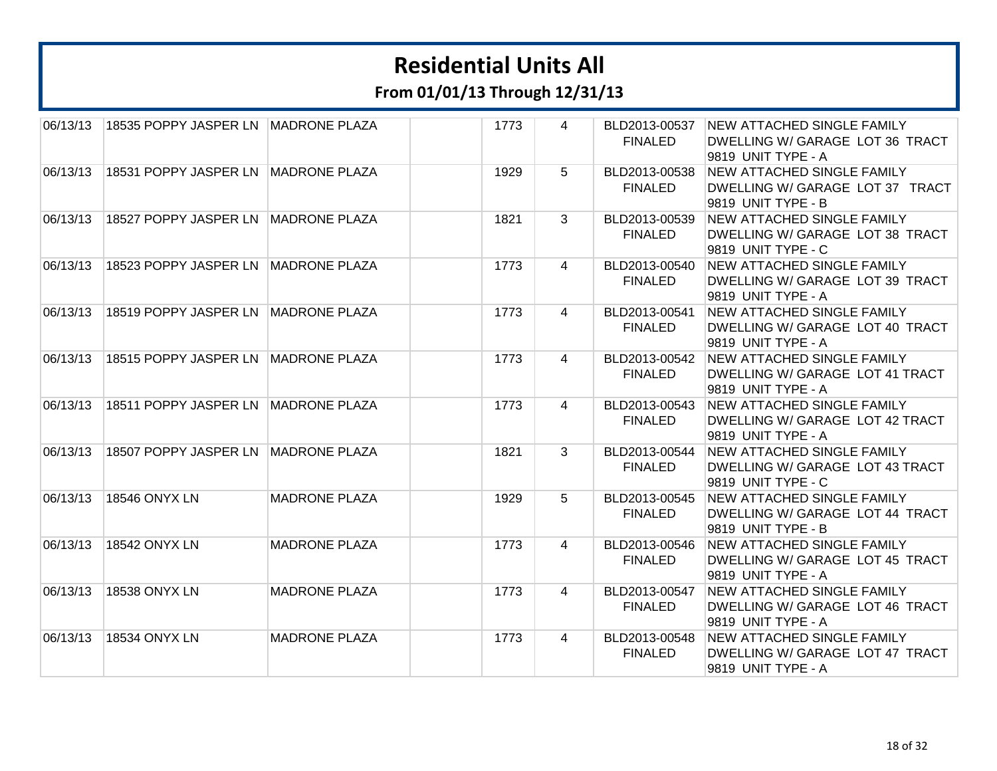**From 01/01/13 Through 12/31/13**

| 06/13/13 | 18535 POPPY JASPER LN MADRONE PLAZA |                      | 1773 | 4              | BLD2013-00537  | <b>NEW ATTACHED SINGLE FAMILY</b> |
|----------|-------------------------------------|----------------------|------|----------------|----------------|-----------------------------------|
|          |                                     |                      |      |                | <b>FINALED</b> | DWELLING W/ GARAGE LOT 36 TRACT   |
|          |                                     |                      |      |                |                | 9819 UNIT TYPE - A                |
| 06/13/13 | 18531 POPPY JASPER LN MADRONE PLAZA |                      | 1929 | 5              | BLD2013-00538  | NEW ATTACHED SINGLE FAMILY        |
|          |                                     |                      |      |                | <b>FINALED</b> | DWELLING W/ GARAGE LOT 37 TRACT   |
|          |                                     |                      |      |                |                | 9819 UNIT TYPE - B                |
| 06/13/13 | 18527 POPPY JASPER LN MADRONE PLAZA |                      | 1821 | 3              | BLD2013-00539  | <b>NEW ATTACHED SINGLE FAMILY</b> |
|          |                                     |                      |      |                | <b>FINALED</b> | DWELLING W/ GARAGE LOT 38 TRACT   |
|          |                                     |                      |      |                |                | 9819 UNIT TYPE - C                |
| 06/13/13 | 18523 POPPY JASPER LN MADRONE PLAZA |                      | 1773 | $\overline{4}$ | BLD2013-00540  | <b>NEW ATTACHED SINGLE FAMILY</b> |
|          |                                     |                      |      |                | <b>FINALED</b> | DWELLING W/ GARAGE LOT 39 TRACT   |
|          |                                     |                      |      |                |                | 9819 UNIT TYPE - A                |
| 06/13/13 | 18519 POPPY JASPER LN MADRONE PLAZA |                      | 1773 | 4              | BLD2013-00541  | <b>NEW ATTACHED SINGLE FAMILY</b> |
|          |                                     |                      |      |                | <b>FINALED</b> | DWELLING W/ GARAGE LOT 40 TRACT   |
|          |                                     |                      |      |                |                | 9819 UNIT TYPE - A                |
| 06/13/13 | 18515 POPPY JASPER LN MADRONE PLAZA |                      | 1773 | $\overline{4}$ | BLD2013-00542  | <b>NEW ATTACHED SINGLE FAMILY</b> |
|          |                                     |                      |      |                | <b>FINALED</b> | DWELLING W/ GARAGE LOT 41 TRACT   |
|          |                                     |                      |      |                |                | 9819 UNIT TYPE - A                |
| 06/13/13 | 18511 POPPY JASPER LN MADRONE PLAZA |                      | 1773 | $\overline{4}$ | BLD2013-00543  | <b>NEW ATTACHED SINGLE FAMILY</b> |
|          |                                     |                      |      |                | <b>FINALED</b> | DWELLING W/ GARAGE LOT 42 TRACT   |
|          |                                     |                      |      |                |                | 9819 UNIT TYPE - A                |
| 06/13/13 | 18507 POPPY JASPER LN MADRONE PLAZA |                      | 1821 | 3              | BLD2013-00544  | <b>NEW ATTACHED SINGLE FAMILY</b> |
|          |                                     |                      |      |                | <b>FINALED</b> | DWELLING W/ GARAGE LOT 43 TRACT   |
|          |                                     |                      |      |                |                | 9819 UNIT TYPE - C                |
| 06/13/13 | 18546 ONYX LN                       | <b>MADRONE PLAZA</b> | 1929 | 5              | BLD2013-00545  | NEW ATTACHED SINGLE FAMILY        |
|          |                                     |                      |      |                | <b>FINALED</b> | DWELLING W/ GARAGE LOT 44 TRACT   |
|          |                                     |                      |      |                |                | 9819 UNIT TYPE - B                |
| 06/13/13 | 18542 ONYX LN                       | <b>MADRONE PLAZA</b> | 1773 | 4              | BLD2013-00546  | <b>NEW ATTACHED SINGLE FAMILY</b> |
|          |                                     |                      |      |                | <b>FINALED</b> | DWELLING W/ GARAGE LOT 45 TRACT   |
|          |                                     |                      |      |                |                | 9819 UNIT TYPE - A                |
| 06/13/13 | 18538 ONYX LN                       | <b>MADRONE PLAZA</b> | 1773 | 4              | BLD2013-00547  | <b>NEW ATTACHED SINGLE FAMILY</b> |
|          |                                     |                      |      |                | <b>FINALED</b> | DWELLING W/ GARAGE LOT 46 TRACT   |
|          |                                     |                      |      |                |                | 9819 UNIT TYPE - A                |
| 06/13/13 | 18534 ONYX LN                       | <b>MADRONE PLAZA</b> | 1773 | 4              | BLD2013-00548  | <b>NEW ATTACHED SINGLE FAMILY</b> |
|          |                                     |                      |      |                | <b>FINALED</b> | DWELLING W/ GARAGE LOT 47 TRACT   |
|          |                                     |                      |      |                |                | 9819 UNIT TYPE - A                |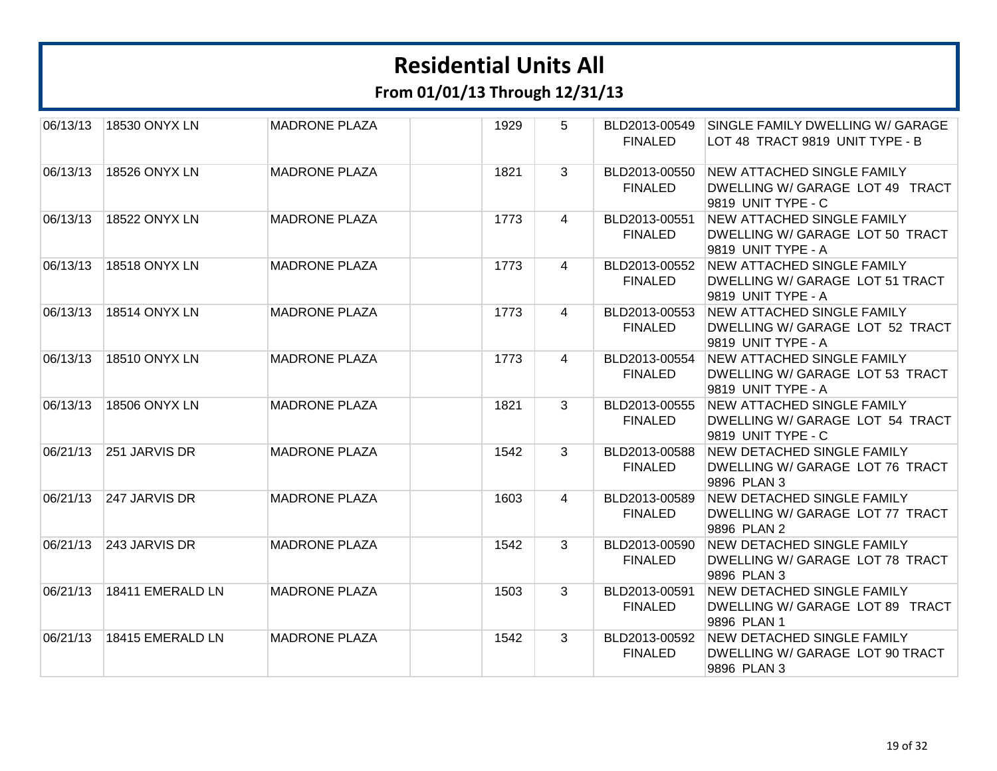**From 01/01/13 Through 12/31/13**

| 06/13/13 | 18530 ONYX LN    | <b>MADRONE PLAZA</b> | 1929 | 5              | BLD2013-00549<br><b>FINALED</b> | SINGLE FAMILY DWELLING W/ GARAGE<br>LOT 48 TRACT 9819 UNIT TYPE - B                        |
|----------|------------------|----------------------|------|----------------|---------------------------------|--------------------------------------------------------------------------------------------|
| 06/13/13 | 18526 ONYX LN    | <b>MADRONE PLAZA</b> | 1821 | 3              | BLD2013-00550<br><b>FINALED</b> | NEW ATTACHED SINGLE FAMILY<br>DWELLING W/ GARAGE LOT 49 TRACT<br>9819 UNIT TYPE - C        |
| 06/13/13 | 18522 ONYX LN    | <b>MADRONE PLAZA</b> | 1773 | 4              | BLD2013-00551<br><b>FINALED</b> | <b>NEW ATTACHED SINGLE FAMILY</b><br>DWELLING W/ GARAGE LOT 50 TRACT<br>9819 UNIT TYPE - A |
| 06/13/13 | 18518 ONYX LN    | <b>MADRONE PLAZA</b> | 1773 | 4              | BLD2013-00552<br><b>FINALED</b> | NEW ATTACHED SINGLE FAMILY<br>DWELLING W/ GARAGE LOT 51 TRACT<br>9819 UNIT TYPE - A        |
| 06/13/13 | 18514 ONYX LN    | <b>MADRONE PLAZA</b> | 1773 | $\overline{4}$ | BLD2013-00553<br><b>FINALED</b> | <b>NEW ATTACHED SINGLE FAMILY</b><br>DWELLING W/ GARAGE LOT 52 TRACT<br>9819 UNIT TYPE - A |
| 06/13/13 | 18510 ONYX LN    | <b>MADRONE PLAZA</b> | 1773 | 4              | BLD2013-00554<br><b>FINALED</b> | <b>NEW ATTACHED SINGLE FAMILY</b><br>DWELLING W/ GARAGE LOT 53 TRACT<br>9819 UNIT TYPE - A |
| 06/13/13 | 18506 ONYX LN    | <b>MADRONE PLAZA</b> | 1821 | $\mathbf{3}$   | BLD2013-00555<br><b>FINALED</b> | <b>NEW ATTACHED SINGLE FAMILY</b><br>DWELLING W/ GARAGE LOT 54 TRACT<br>9819 UNIT TYPE - C |
| 06/21/13 | 251 JARVIS DR    | <b>MADRONE PLAZA</b> | 1542 | 3              | BLD2013-00588<br><b>FINALED</b> | NEW DETACHED SINGLE FAMILY<br>DWELLING W/ GARAGE LOT 76 TRACT<br>9896 PLAN 3               |
| 06/21/13 | 247 JARVIS DR    | <b>MADRONE PLAZA</b> | 1603 | 4              | BLD2013-00589<br><b>FINALED</b> | NEW DETACHED SINGLE FAMILY<br>DWELLING W/ GARAGE LOT 77 TRACT<br>9896 PLAN 2               |
| 06/21/13 | 243 JARVIS DR    | <b>MADRONE PLAZA</b> | 1542 | $\mathbf{3}$   | BLD2013-00590<br><b>FINALED</b> | <b>NEW DETACHED SINGLE FAMILY</b><br>DWELLING W/ GARAGE LOT 78 TRACT<br>9896 PLAN 3        |
| 06/21/13 | 18411 EMERALD LN | <b>MADRONE PLAZA</b> | 1503 | 3              | BLD2013-00591<br><b>FINALED</b> | <b>NEW DETACHED SINGLE FAMILY</b><br>DWELLING W/ GARAGE LOT 89 TRACT<br>9896 PLAN 1        |
| 06/21/13 | 18415 EMERALD LN | <b>MADRONE PLAZA</b> | 1542 | 3              | BLD2013-00592<br><b>FINALED</b> | NEW DETACHED SINGLE FAMILY<br>DWELLING W/ GARAGE LOT 90 TRACT<br>9896 PLAN 3               |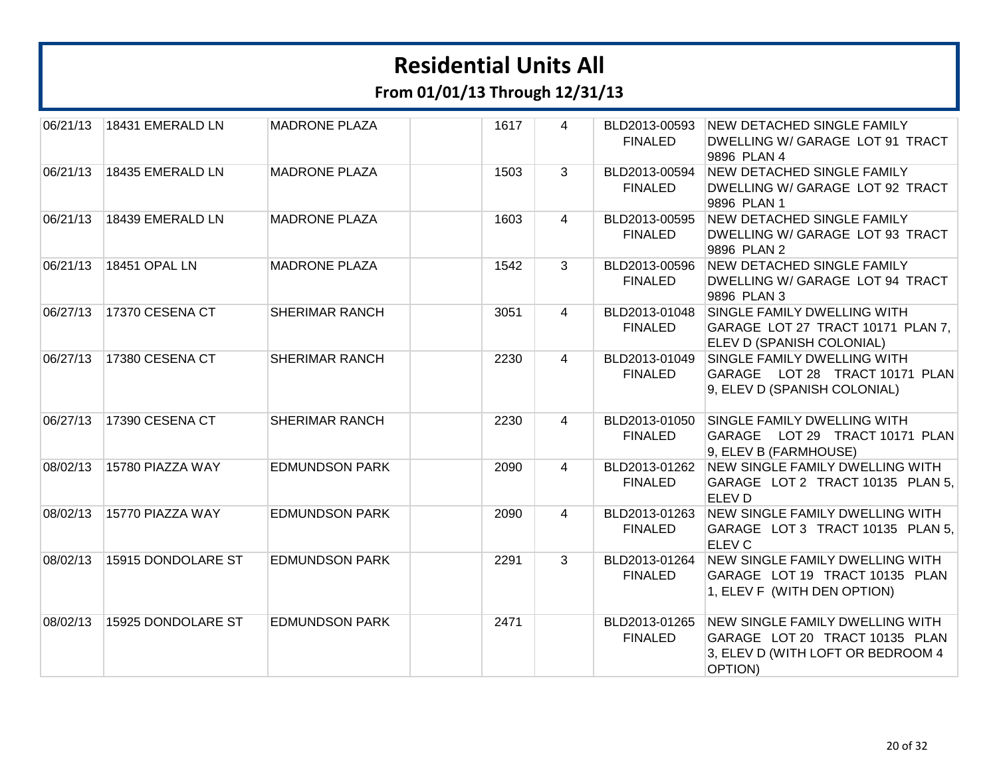**From 01/01/13 Through 12/31/13**

| 06/21/13 | 18431 EMERALD LN   | <b>MADRONE PLAZA</b>  | 1617 | 4 | BLD2013-00593<br><b>FINALED</b> | NEW DETACHED SINGLE FAMILY<br>DWELLING W/ GARAGE LOT 91 TRACT<br>9896 PLAN 4                                      |
|----------|--------------------|-----------------------|------|---|---------------------------------|-------------------------------------------------------------------------------------------------------------------|
| 06/21/13 | 18435 EMERALD LN   | <b>MADRONE PLAZA</b>  | 1503 | 3 | BLD2013-00594<br><b>FINALED</b> | <b>NEW DETACHED SINGLE FAMILY</b><br>DWELLING W/ GARAGE LOT 92 TRACT<br>9896 PLAN 1                               |
| 06/21/13 | 18439 EMERALD LN   | <b>MADRONE PLAZA</b>  | 1603 | 4 | BLD2013-00595<br><b>FINALED</b> | <b>NEW DETACHED SINGLE FAMILY</b><br>DWELLING W/ GARAGE LOT 93 TRACT<br>9896 PLAN 2                               |
| 06/21/13 | 18451 OPAL LN      | <b>MADRONE PLAZA</b>  | 1542 | 3 | BLD2013-00596<br><b>FINALED</b> | <b>NEW DETACHED SINGLE FAMILY</b><br>DWELLING W/ GARAGE LOT 94 TRACT<br>9896 PLAN 3                               |
| 06/27/13 | 17370 CESENA CT    | <b>SHERIMAR RANCH</b> | 3051 | 4 | BLD2013-01048<br><b>FINALED</b> | SINGLE FAMILY DWELLING WITH<br>GARAGE LOT 27 TRACT 10171 PLAN 7,<br>ELEV D (SPANISH COLONIAL)                     |
| 06/27/13 | 17380 CESENA CT    | <b>SHERIMAR RANCH</b> | 2230 | 4 | BLD2013-01049<br><b>FINALED</b> | SINGLE FAMILY DWELLING WITH<br>GARAGE LOT 28 TRACT 10171 PLAN<br>9, ELEV D (SPANISH COLONIAL)                     |
| 06/27/13 | 17390 CESENA CT    | <b>SHERIMAR RANCH</b> | 2230 | 4 | BLD2013-01050<br><b>FINALED</b> | SINGLE FAMILY DWELLING WITH<br>GARAGE LOT 29 TRACT 10171 PLAN<br>9, ELEV B (FARMHOUSE)                            |
| 08/02/13 | 15780 PIAZZA WAY   | <b>EDMUNDSON PARK</b> | 2090 | 4 | <b>FINALED</b>                  | BLD2013-01262 NEW SINGLE FAMILY DWELLING WITH<br>GARAGE LOT 2 TRACT 10135 PLAN 5,<br>ELEV <sub>D</sub>            |
| 08/02/13 | 15770 PIAZZA WAY   | <b>EDMUNDSON PARK</b> | 2090 | 4 | BLD2013-01263<br><b>FINALED</b> | NEW SINGLE FAMILY DWELLING WITH<br>GARAGE LOT 3 TRACT 10135 PLAN 5,<br>ELEV <sub>C</sub>                          |
| 08/02/13 | 15915 DONDOLARE ST | <b>EDMUNDSON PARK</b> | 2291 | 3 | BLD2013-01264<br><b>FINALED</b> | <b>NEW SINGLE FAMILY DWELLING WITH</b><br>GARAGE LOT 19 TRACT 10135 PLAN<br>1, ELEV F (WITH DEN OPTION)           |
| 08/02/13 | 15925 DONDOLARE ST | <b>EDMUNDSON PARK</b> | 2471 |   | BLD2013-01265<br><b>FINALED</b> | NEW SINGLE FAMILY DWELLING WITH<br>GARAGE LOT 20 TRACT 10135 PLAN<br>3, ELEV D (WITH LOFT OR BEDROOM 4<br>OPTION) |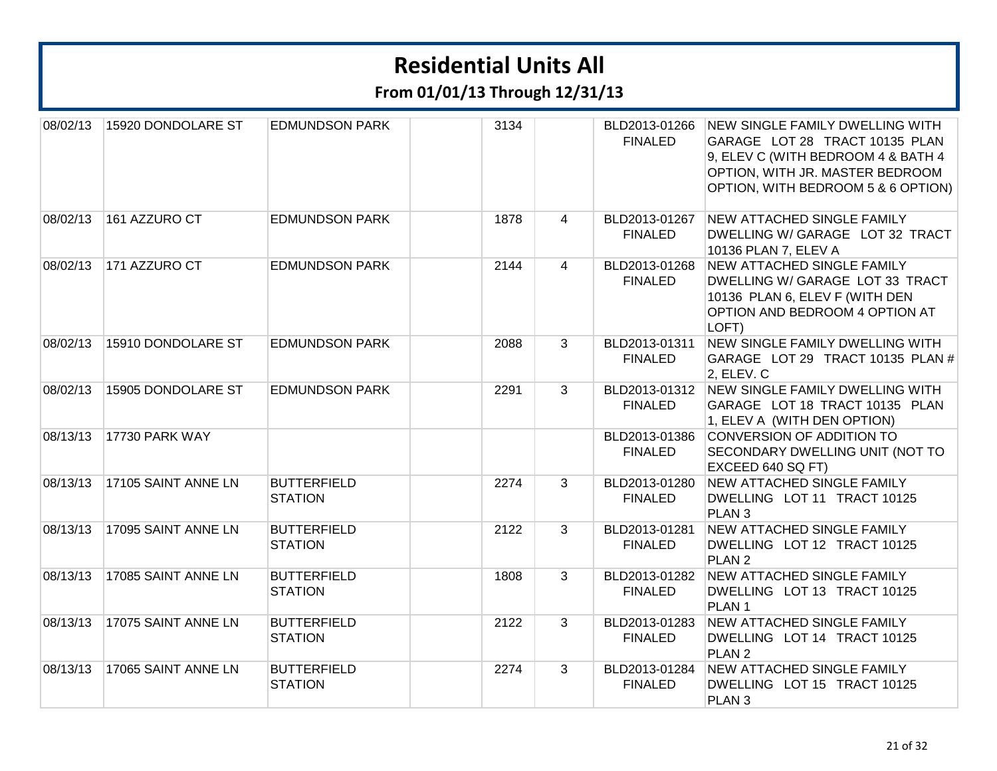| 08/02/13 | 15920 DONDOLARE ST  | <b>EDMUNDSON PARK</b>                | 3134 |                | BLD2013-01266<br><b>FINALED</b> | <b>NEW SINGLE FAMILY DWELLING WITH</b><br>GARAGE LOT 28 TRACT 10135 PLAN<br>9, ELEV C (WITH BEDROOM 4 & BATH 4<br>OPTION, WITH JR. MASTER BEDROOM<br>OPTION, WITH BEDROOM 5 & 6 OPTION) |
|----------|---------------------|--------------------------------------|------|----------------|---------------------------------|-----------------------------------------------------------------------------------------------------------------------------------------------------------------------------------------|
| 08/02/13 | 161 AZZURO CT       | <b>EDMUNDSON PARK</b>                | 1878 | $\overline{4}$ | BLD2013-01267<br><b>FINALED</b> | <b>NEW ATTACHED SINGLE FAMILY</b><br>DWELLING W/ GARAGE LOT 32 TRACT<br>10136 PLAN 7, ELEV A                                                                                            |
| 08/02/13 | 171 AZZURO CT       | <b>EDMUNDSON PARK</b>                | 2144 | 4              | BLD2013-01268<br><b>FINALED</b> | <b>NEW ATTACHED SINGLE FAMILY</b><br>DWELLING W/ GARAGE LOT 33 TRACT<br>10136 PLAN 6, ELEV F (WITH DEN<br>OPTION AND BEDROOM 4 OPTION AT<br>LOFT)                                       |
| 08/02/13 | 15910 DONDOLARE ST  | <b>EDMUNDSON PARK</b>                | 2088 | 3              | BLD2013-01311<br><b>FINALED</b> | NEW SINGLE FAMILY DWELLING WITH<br>GARAGE LOT 29 TRACT 10135 PLAN #<br>2, ELEV. C                                                                                                       |
| 08/02/13 | 15905 DONDOLARE ST  | <b>EDMUNDSON PARK</b>                | 2291 | 3              | <b>FINALED</b>                  | BLD2013-01312 NEW SINGLE FAMILY DWELLING WITH<br>GARAGE LOT 18 TRACT 10135 PLAN<br>1, ELEV A (WITH DEN OPTION)                                                                          |
| 08/13/13 | 17730 PARK WAY      |                                      |      |                | BLD2013-01386<br><b>FINALED</b> | CONVERSION OF ADDITION TO<br>SECONDARY DWELLING UNIT (NOT TO<br>EXCEED 640 SQ FT)                                                                                                       |
| 08/13/13 | 17105 SAINT ANNE LN | <b>BUTTERFIELD</b><br><b>STATION</b> | 2274 | 3              | BLD2013-01280<br><b>FINALED</b> | <b>NEW ATTACHED SINGLE FAMILY</b><br>DWELLING LOT 11 TRACT 10125<br>PLAN <sub>3</sub>                                                                                                   |
| 08/13/13 | 17095 SAINT ANNE LN | <b>BUTTERFIELD</b><br><b>STATION</b> | 2122 | 3              | BLD2013-01281<br><b>FINALED</b> | NEW ATTACHED SINGLE FAMILY<br>DWELLING LOT 12 TRACT 10125<br>PLAN <sub>2</sub>                                                                                                          |
| 08/13/13 | 17085 SAINT ANNE LN | <b>BUTTERFIELD</b><br><b>STATION</b> | 1808 | 3              | BLD2013-01282<br><b>FINALED</b> | NEW ATTACHED SINGLE FAMILY<br>DWELLING LOT 13 TRACT 10125<br>PLAN <sub>1</sub>                                                                                                          |
| 08/13/13 | 17075 SAINT ANNE LN | <b>BUTTERFIELD</b><br><b>STATION</b> | 2122 | 3              | BLD2013-01283<br><b>FINALED</b> | <b>NEW ATTACHED SINGLE FAMILY</b><br>DWELLING LOT 14 TRACT 10125<br>PLAN <sub>2</sub>                                                                                                   |
| 08/13/13 | 17065 SAINT ANNE LN | <b>BUTTERFIELD</b><br><b>STATION</b> | 2274 | 3              | BLD2013-01284<br><b>FINALED</b> | NEW ATTACHED SINGLE FAMILY<br>DWELLING LOT 15 TRACT 10125<br>PLAN <sub>3</sub>                                                                                                          |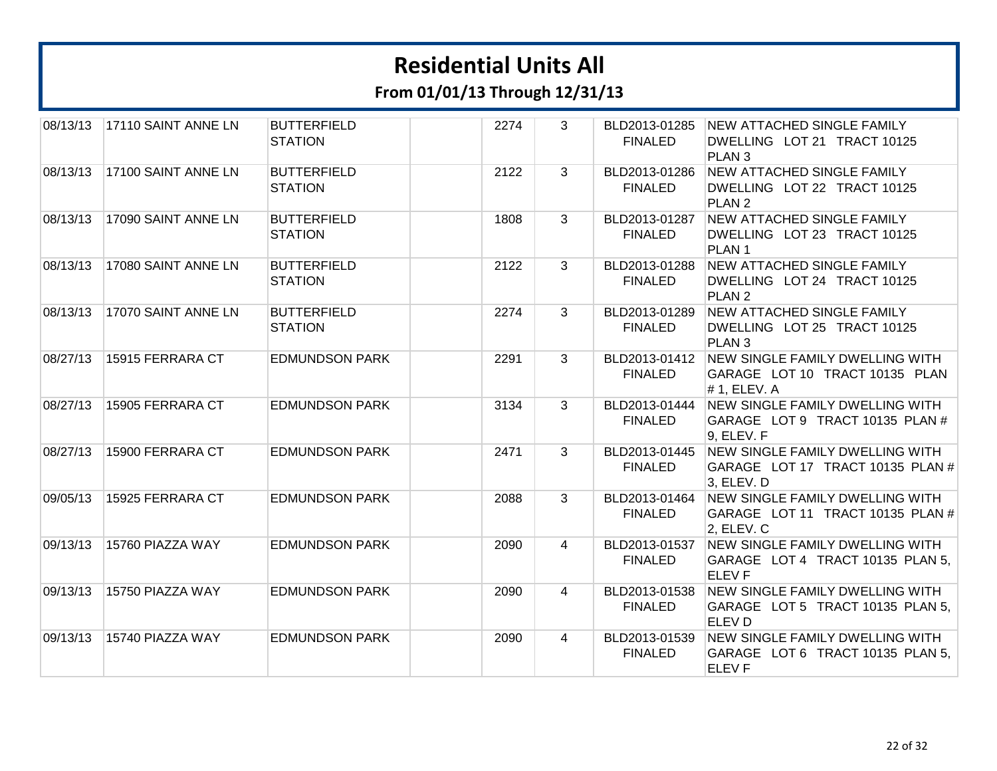| 08/13/13 | 17110 SAINT ANNE LN | <b>BUTTERFIELD</b><br><b>STATION</b> | 2274 | 3              | BLD2013-01285<br><b>FINALED</b> | <b>NEW ATTACHED SINGLE FAMILY</b><br>DWELLING LOT 21 TRACT 10125<br>PLAN <sub>3</sub>      |
|----------|---------------------|--------------------------------------|------|----------------|---------------------------------|--------------------------------------------------------------------------------------------|
| 08/13/13 | 17100 SAINT ANNE LN | <b>BUTTERFIELD</b><br><b>STATION</b> | 2122 | 3              | BLD2013-01286<br><b>FINALED</b> | <b>NEW ATTACHED SINGLE FAMILY</b><br>DWELLING LOT 22 TRACT 10125<br>PLAN <sub>2</sub>      |
| 08/13/13 | 17090 SAINT ANNE LN | <b>BUTTERFIELD</b><br><b>STATION</b> | 1808 | 3              | BLD2013-01287<br><b>FINALED</b> | <b>NEW ATTACHED SINGLE FAMILY</b><br>DWELLING LOT 23 TRACT 10125<br>PLAN <sub>1</sub>      |
| 08/13/13 | 17080 SAINT ANNE LN | <b>BUTTERFIELD</b><br><b>STATION</b> | 2122 | 3              | BLD2013-01288<br><b>FINALED</b> | <b>NEW ATTACHED SINGLE FAMILY</b><br>DWELLING LOT 24 TRACT 10125<br>PLAN <sub>2</sub>      |
| 08/13/13 | 17070 SAINT ANNE LN | <b>BUTTERFIELD</b><br><b>STATION</b> | 2274 | 3              | BLD2013-01289<br><b>FINALED</b> | <b>NEW ATTACHED SINGLE FAMILY</b><br>DWELLING LOT 25 TRACT 10125<br>PLAN <sub>3</sub>      |
| 08/27/13 | 15915 FERRARA CT    | <b>EDMUNDSON PARK</b>                | 2291 | $\mathbf{3}$   | BLD2013-01412<br><b>FINALED</b> | <b>NEW SINGLE FAMILY DWELLING WITH</b><br>GARAGE LOT 10 TRACT 10135 PLAN<br>#1, ELEV. A    |
| 08/27/13 | 15905 FERRARA CT    | <b>EDMUNDSON PARK</b>                | 3134 | $\overline{3}$ | BLD2013-01444<br><b>FINALED</b> | <b>NEW SINGLE FAMILY DWELLING WITH</b><br>GARAGE LOT 9 TRACT 10135 PLAN #<br>9, ELEV. F    |
| 08/27/13 | 15900 FERRARA CT    | <b>EDMUNDSON PARK</b>                | 2471 | 3              | BLD2013-01445<br><b>FINALED</b> | NEW SINGLE FAMILY DWELLING WITH<br>GARAGE LOT 17 TRACT 10135 PLAN #<br>3, ELEV. D          |
| 09/05/13 | 15925 FERRARA CT    | <b>EDMUNDSON PARK</b>                | 2088 | 3              | BLD2013-01464<br><b>FINALED</b> | <b>NEW SINGLE FAMILY DWELLING WITH</b><br>GARAGE LOT 11 TRACT 10135 PLAN #<br>2, ELEV. C   |
| 09/13/13 | 15760 PIAZZA WAY    | <b>EDMUNDSON PARK</b>                | 2090 | 4              | BLD2013-01537<br><b>FINALED</b> | <b>NEW SINGLE FAMILY DWELLING WITH</b><br>GARAGE LOT 4 TRACT 10135 PLAN 5,<br><b>ELEVF</b> |
| 09/13/13 | 15750 PIAZZA WAY    | <b>EDMUNDSON PARK</b>                | 2090 | 4              | BLD2013-01538<br><b>FINALED</b> | NEW SINGLE FAMILY DWELLING WITH<br>GARAGE LOT 5 TRACT 10135 PLAN 5,<br>ELEV D              |
| 09/13/13 | 15740 PIAZZA WAY    | <b>EDMUNDSON PARK</b>                | 2090 | 4              | BLD2013-01539<br><b>FINALED</b> | <b>NEW SINGLE FAMILY DWELLING WITH</b><br>GARAGE LOT 6 TRACT 10135 PLAN 5,<br><b>ELEVF</b> |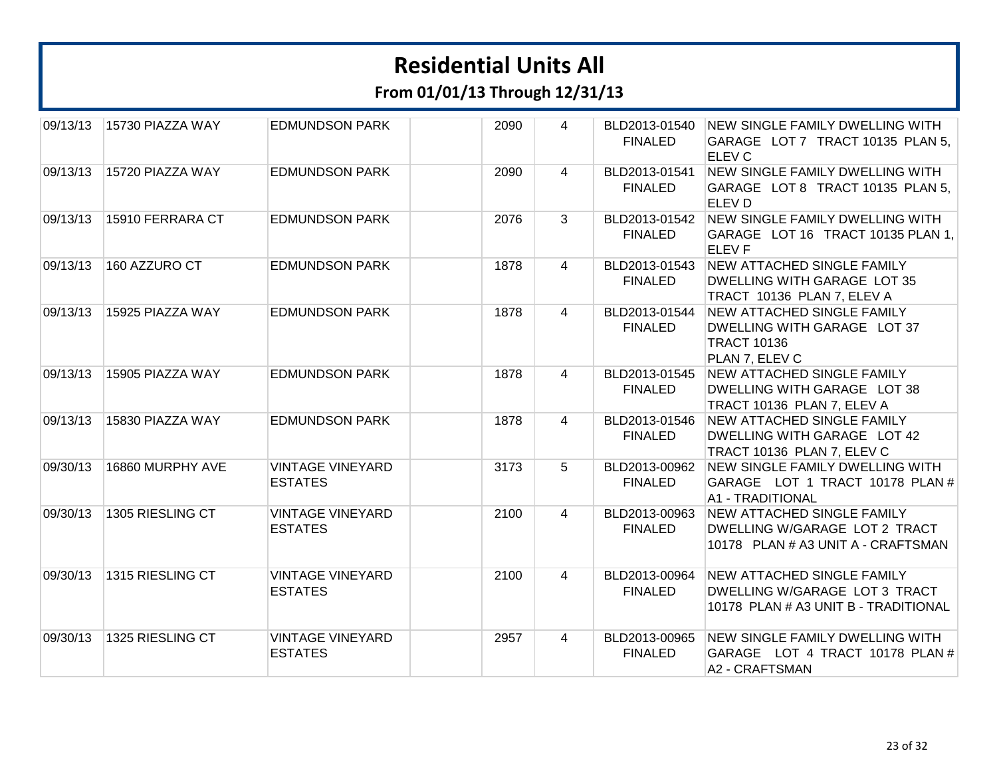**From 01/01/13 Through 12/31/13**

| 09/13/13 | 15730 PIAZZA WAY | <b>EDMUNDSON PARK</b>                     | 2090 | 4              | BLD2013-01540<br><b>FINALED</b> | NEW SINGLE FAMILY DWELLING WITH<br>GARAGE LOT 7 TRACT 10135 PLAN 5.<br><b>ELEV C</b>                       |
|----------|------------------|-------------------------------------------|------|----------------|---------------------------------|------------------------------------------------------------------------------------------------------------|
| 09/13/13 | 15720 PIAZZA WAY | <b>EDMUNDSON PARK</b>                     | 2090 | 4              | BLD2013-01541<br><b>FINALED</b> | NEW SINGLE FAMILY DWELLING WITH<br>GARAGE LOT 8 TRACT 10135 PLAN 5,<br>ELEV <sub>D</sub>                   |
| 09/13/13 | 15910 FERRARA CT | <b>EDMUNDSON PARK</b>                     | 2076 | 3              | BLD2013-01542<br><b>FINALED</b> | NEW SINGLE FAMILY DWELLING WITH<br>GARAGE LOT 16 TRACT 10135 PLAN 1,<br><b>ELEVF</b>                       |
| 09/13/13 | 160 AZZURO CT    | <b>EDMUNDSON PARK</b>                     | 1878 | 4              | BLD2013-01543<br><b>FINALED</b> | NEW ATTACHED SINGLE FAMILY<br>DWELLING WITH GARAGE LOT 35<br>TRACT 10136 PLAN 7, ELEV A                    |
| 09/13/13 | 15925 PIAZZA WAY | <b>EDMUNDSON PARK</b>                     | 1878 | $\overline{4}$ | BLD2013-01544<br><b>FINALED</b> | NEW ATTACHED SINGLE FAMILY<br>DWELLING WITH GARAGE LOT 37<br><b>TRACT 10136</b><br>PLAN 7, ELEV C          |
| 09/13/13 | 15905 PIAZZA WAY | <b>EDMUNDSON PARK</b>                     | 1878 | 4              | BLD2013-01545<br><b>FINALED</b> | <b>NEW ATTACHED SINGLE FAMILY</b><br>DWELLING WITH GARAGE LOT 38<br>TRACT 10136 PLAN 7, ELEV A             |
| 09/13/13 | 15830 PIAZZA WAY | <b>EDMUNDSON PARK</b>                     | 1878 | $\overline{4}$ | BLD2013-01546<br><b>FINALED</b> | NEW ATTACHED SINGLE FAMILY<br>DWELLING WITH GARAGE LOT 42<br>TRACT 10136 PLAN 7, ELEV C                    |
| 09/30/13 | 16860 MURPHY AVE | <b>VINTAGE VINEYARD</b><br><b>ESTATES</b> | 3173 | 5              | BLD2013-00962<br><b>FINALED</b> | <b>NEW SINGLE FAMILY DWELLING WITH</b><br>GARAGE LOT 1 TRACT 10178 PLAN #<br><b>A1 - TRADITIONAL</b>       |
| 09/30/13 | 1305 RIESLING CT | <b>VINTAGE VINEYARD</b><br><b>ESTATES</b> | 2100 | $\overline{4}$ | BLD2013-00963<br><b>FINALED</b> | <b>NEW ATTACHED SINGLE FAMILY</b><br>DWELLING W/GARAGE LOT 2 TRACT<br>10178 PLAN # A3 UNIT A - CRAFTSMAN   |
| 09/30/13 | 1315 RIESLING CT | <b>VINTAGE VINEYARD</b><br><b>ESTATES</b> | 2100 | 4              | BLD2013-00964<br><b>FINALED</b> | <b>NEW ATTACHED SINGLE FAMILY</b><br>DWELLING W/GARAGE LOT 3 TRACT<br>10178 PLAN # A3 UNIT B - TRADITIONAL |
| 09/30/13 | 1325 RIESLING CT | <b>VINTAGE VINEYARD</b><br><b>ESTATES</b> | 2957 | 4              | BLD2013-00965<br><b>FINALED</b> | NEW SINGLE FAMILY DWELLING WITH<br>GARAGE LOT 4 TRACT 10178 PLAN #<br>A2 - CRAFTSMAN                       |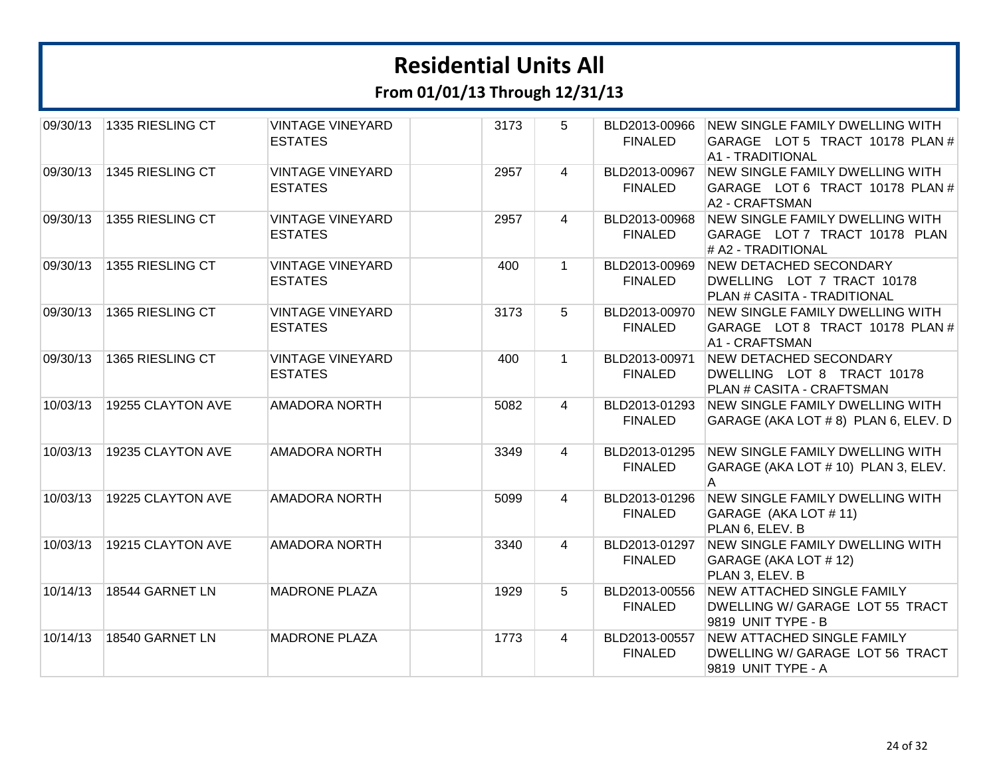**From 01/01/13 Through 12/31/13**

| 09/30/13 | 1335 RIESLING CT  | <b>VINTAGE VINEYARD</b><br><b>ESTATES</b> | 3173 | 5              | BLD2013-00966<br><b>FINALED</b> | NEW SINGLE FAMILY DWELLING WITH<br>GARAGE LOT 5 TRACT 10178 PLAN #<br><b>A1 - TRADITIONAL</b> |
|----------|-------------------|-------------------------------------------|------|----------------|---------------------------------|-----------------------------------------------------------------------------------------------|
| 09/30/13 | 1345 RIESLING CT  | <b>VINTAGE VINEYARD</b><br><b>ESTATES</b> | 2957 | $\overline{4}$ | BLD2013-00967<br><b>FINALED</b> | <b>NEW SINGLE FAMILY DWELLING WITH</b><br>GARAGE LOT 6 TRACT 10178 PLAN #<br>A2 - CRAFTSMAN   |
| 09/30/13 | 1355 RIESLING CT  | <b>VINTAGE VINEYARD</b><br><b>ESTATES</b> | 2957 | $\overline{4}$ | BLD2013-00968<br><b>FINALED</b> | <b>NEW SINGLE FAMILY DWELLING WITH</b><br>GARAGE LOT 7 TRACT 10178 PLAN<br># A2 - TRADITIONAL |
| 09/30/13 | 1355 RIESLING CT  | <b>VINTAGE VINEYARD</b><br><b>ESTATES</b> | 400  | $\mathbf{1}$   | BLD2013-00969<br><b>FINALED</b> | <b>NEW DETACHED SECONDARY</b><br>DWELLING LOT 7 TRACT 10178<br>PLAN # CASITA - TRADITIONAL    |
| 09/30/13 | 1365 RIESLING CT  | <b>VINTAGE VINEYARD</b><br><b>ESTATES</b> | 3173 | 5              | BLD2013-00970<br><b>FINALED</b> | <b>NEW SINGLE FAMILY DWELLING WITH</b><br>GARAGE LOT 8 TRACT 10178 PLAN #<br>A1 - CRAFTSMAN   |
| 09/30/13 | 1365 RIESLING CT  | <b>VINTAGE VINEYARD</b><br><b>ESTATES</b> | 400  | $\mathbf{1}$   | BLD2013-00971<br><b>FINALED</b> | NEW DETACHED SECONDARY<br>DWELLING LOT 8 TRACT 10178<br>PLAN # CASITA - CRAFTSMAN             |
| 10/03/13 | 19255 CLAYTON AVE | <b>AMADORA NORTH</b>                      | 5082 | 4              | BLD2013-01293<br><b>FINALED</b> | NEW SINGLE FAMILY DWELLING WITH<br>GARAGE (AKA LOT #8) PLAN 6, ELEV. D                        |
| 10/03/13 | 19235 CLAYTON AVE | <b>AMADORA NORTH</b>                      | 3349 | 4              | BLD2013-01295<br><b>FINALED</b> | NEW SINGLE FAMILY DWELLING WITH<br>GARAGE (AKA LOT # 10) PLAN 3, ELEV.<br>A                   |
| 10/03/13 | 19225 CLAYTON AVE | <b>AMADORA NORTH</b>                      | 5099 | 4              | BLD2013-01296<br><b>FINALED</b> | NEW SINGLE FAMILY DWELLING WITH<br>GARAGE (AKA LOT # 11)<br>PLAN 6, ELEV. B                   |
| 10/03/13 | 19215 CLAYTON AVE | <b>AMADORA NORTH</b>                      | 3340 | $\overline{4}$ | BLD2013-01297<br><b>FINALED</b> | <b>NEW SINGLE FAMILY DWELLING WITH</b><br>GARAGE (AKA LOT # 12)<br>PLAN 3, ELEV. B            |
| 10/14/13 | 18544 GARNET LN   | <b>MADRONE PLAZA</b>                      | 1929 | 5              | BLD2013-00556<br><b>FINALED</b> | <b>NEW ATTACHED SINGLE FAMILY</b><br>DWELLING W/ GARAGE LOT 55 TRACT<br>9819 UNIT TYPE - B    |
| 10/14/13 | 18540 GARNET LN   | <b>MADRONE PLAZA</b>                      | 1773 | 4              | BLD2013-00557<br><b>FINALED</b> | NEW ATTACHED SINGLE FAMILY<br>DWELLING W/ GARAGE LOT 56 TRACT<br>9819 UNIT TYPE - A           |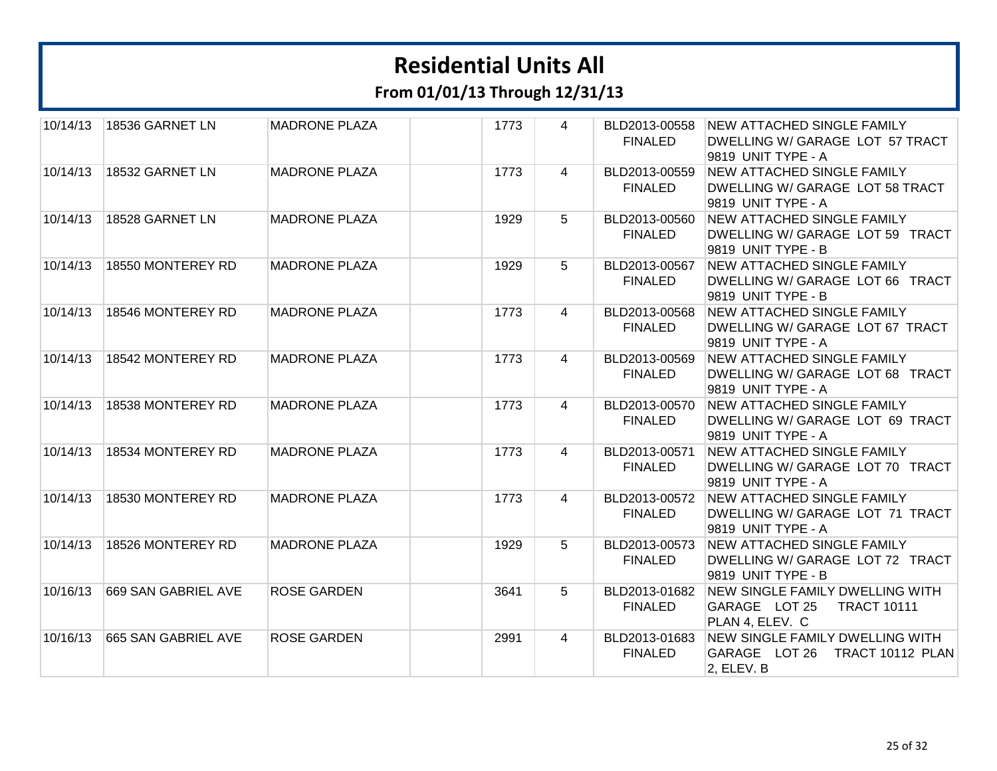**From 01/01/13 Through 12/31/13**

| 10/14/13 | 18536 GARNET LN     | <b>MADRONE PLAZA</b> | 1773 | 4 | BLD2013-00558<br><b>FINALED</b> | NEW ATTACHED SINGLE FAMILY<br>DWELLING W/ GARAGE LOT 57 TRACT<br>9819 UNIT TYPE - A               |
|----------|---------------------|----------------------|------|---|---------------------------------|---------------------------------------------------------------------------------------------------|
| 10/14/13 | 18532 GARNET LN     | <b>MADRONE PLAZA</b> | 1773 | 4 | BLD2013-00559<br><b>FINALED</b> | <b>NEW ATTACHED SINGLE FAMILY</b><br>DWELLING W/ GARAGE LOT 58 TRACT<br>9819 UNIT TYPE - A        |
| 10/14/13 | 18528 GARNET LN     | <b>MADRONE PLAZA</b> | 1929 | 5 | BLD2013-00560<br><b>FINALED</b> | NEW ATTACHED SINGLE FAMILY<br>DWELLING W/ GARAGE LOT 59 TRACT<br>9819 UNIT TYPE - B               |
| 10/14/13 | 18550 MONTEREY RD   | <b>MADRONE PLAZA</b> | 1929 | 5 | BLD2013-00567<br><b>FINALED</b> | <b>NEW ATTACHED SINGLE FAMILY</b><br>DWELLING W/ GARAGE LOT 66 TRACT<br>9819 UNIT TYPE - B        |
| 10/14/13 | 18546 MONTEREY RD   | <b>MADRONE PLAZA</b> | 1773 | 4 | BLD2013-00568<br><b>FINALED</b> | <b>NEW ATTACHED SINGLE FAMILY</b><br>DWELLING W/ GARAGE LOT 67 TRACT<br>9819 UNIT TYPE - A        |
| 10/14/13 | 18542 MONTEREY RD   | <b>MADRONE PLAZA</b> | 1773 | 4 | BLD2013-00569<br><b>FINALED</b> | NEW ATTACHED SINGLE FAMILY<br>DWELLING W/ GARAGE LOT 68 TRACT<br>9819 UNIT TYPE - A               |
| 10/14/13 | 18538 MONTEREY RD   | <b>MADRONE PLAZA</b> | 1773 | 4 | BLD2013-00570<br><b>FINALED</b> | <b>NEW ATTACHED SINGLE FAMILY</b><br>DWELLING W/ GARAGE LOT 69 TRACT<br>9819 UNIT TYPE - A        |
| 10/14/13 | 18534 MONTEREY RD   | <b>MADRONE PLAZA</b> | 1773 | 4 | BLD2013-00571<br><b>FINALED</b> | <b>NEW ATTACHED SINGLE FAMILY</b><br>DWELLING W/ GARAGE LOT 70 TRACT<br>9819 UNIT TYPE - A        |
| 10/14/13 | 18530 MONTEREY RD   | <b>MADRONE PLAZA</b> | 1773 | 4 | <b>FINALED</b>                  | BLD2013-00572 NEW ATTACHED SINGLE FAMILY<br>DWELLING W/ GARAGE LOT 71 TRACT<br>9819 UNIT TYPE - A |
| 10/14/13 | 18526 MONTEREY RD   | <b>MADRONE PLAZA</b> | 1929 | 5 | BLD2013-00573<br><b>FINALED</b> | <b>NEW ATTACHED SINGLE FAMILY</b><br>DWELLING W/ GARAGE LOT 72 TRACT<br>9819 UNIT TYPE - B        |
| 10/16/13 | 669 SAN GABRIEL AVE | <b>ROSE GARDEN</b>   | 3641 | 5 | BLD2013-01682<br><b>FINALED</b> | NEW SINGLE FAMILY DWELLING WITH<br>GARAGE LOT 25<br><b>TRACT 10111</b><br>PLAN 4, ELEV. C         |
| 10/16/13 | 665 SAN GABRIEL AVE | <b>ROSE GARDEN</b>   | 2991 | 4 | BLD2013-01683<br><b>FINALED</b> | <b>NEW SINGLE FAMILY DWELLING WITH</b><br>GARAGE LOT 26<br>TRACT 10112 PLAN<br>2, ELEV. B         |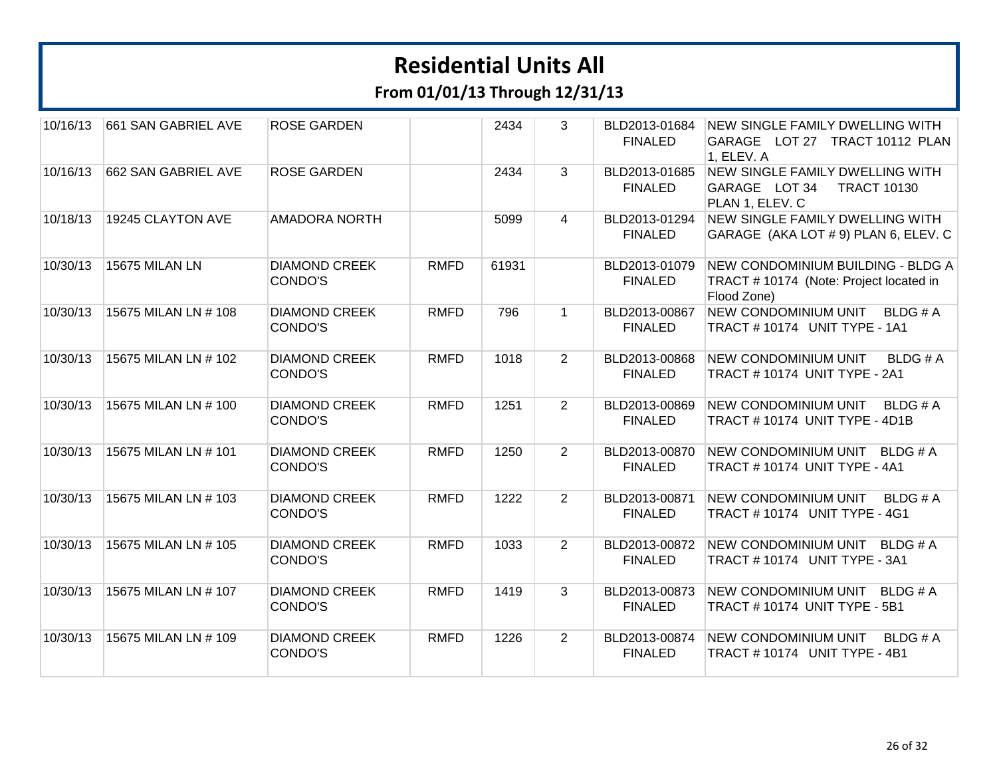| 10/16/13 | 661 SAN GABRIEL AVE   | <b>ROSE GARDEN</b>              |             | 2434  | 3              | BLD2013-01684<br><b>FINALED</b> | NEW SINGLE FAMILY DWELLING WITH<br>GARAGE LOT 27 TRACT 10112 PLAN<br>1, ELEV. A            |
|----------|-----------------------|---------------------------------|-------------|-------|----------------|---------------------------------|--------------------------------------------------------------------------------------------|
| 10/16/13 | 662 SAN GABRIEL AVE   | <b>ROSE GARDEN</b>              |             | 2434  | 3              | BLD2013-01685<br><b>FINALED</b> | NEW SINGLE FAMILY DWELLING WITH<br>GARAGE LOT 34<br><b>TRACT 10130</b><br>PLAN 1, ELEV. C  |
| 10/18/13 | 19245 CLAYTON AVE     | <b>AMADORA NORTH</b>            |             | 5099  | 4              | BLD2013-01294<br><b>FINALED</b> | <b>NEW SINGLE FAMILY DWELLING WITH</b><br>GARAGE (AKA LOT # 9) PLAN 6, ELEV. C             |
| 10/30/13 | <b>15675 MILAN LN</b> | <b>DIAMOND CREEK</b><br>CONDO'S | <b>RMFD</b> | 61931 |                | BLD2013-01079<br><b>FINALED</b> | NEW CONDOMINIUM BUILDING - BLDG A<br>TRACT #10174 (Note: Project located in<br>Flood Zone) |
| 10/30/13 | 15675 MILAN LN # 108  | <b>DIAMOND CREEK</b><br>CONDO'S | <b>RMFD</b> | 796   | $\mathbf{1}$   | BLD2013-00867<br><b>FINALED</b> | NEW CONDOMINIUM UNIT<br>BLDG # A<br>TRACT #10174 UNIT TYPE - 1A1                           |
| 10/30/13 | 15675 MILAN LN # 102  | <b>DIAMOND CREEK</b><br>CONDO'S | <b>RMFD</b> | 1018  | $\overline{2}$ | BLD2013-00868<br><b>FINALED</b> | <b>NEW CONDOMINIUM UNIT</b><br><b>BLDG#A</b><br>TRACT # 10174 UNIT TYPE - 2A1              |
| 10/30/13 | 15675 MILAN LN # 100  | <b>DIAMOND CREEK</b><br>CONDO'S | <b>RMFD</b> | 1251  | $\overline{2}$ | BLD2013-00869<br><b>FINALED</b> | <b>NEW CONDOMINIUM UNIT</b><br>BLDG # A<br>TRACT #10174 UNIT TYPE - 4D1B                   |
| 10/30/13 | 15675 MILAN LN # 101  | <b>DIAMOND CREEK</b><br>CONDO'S | <b>RMFD</b> | 1250  | $\overline{2}$ | BLD2013-00870<br><b>FINALED</b> | <b>NEW CONDOMINIUM UNIT</b><br>BLDG # A<br>TRACT #10174 UNIT TYPE - 4A1                    |
| 10/30/13 | 15675 MILAN LN # 103  | <b>DIAMOND CREEK</b><br>CONDO'S | <b>RMFD</b> | 1222  | $\overline{2}$ | BLD2013-00871<br><b>FINALED</b> | <b>NEW CONDOMINIUM UNIT</b><br>BLDG#A<br>TRACT #10174 UNIT TYPE - 4G1                      |
| 10/30/13 | 15675 MILAN LN # 105  | <b>DIAMOND CREEK</b><br>CONDO'S | <b>RMFD</b> | 1033  | $\overline{2}$ | BLD2013-00872<br><b>FINALED</b> | NEW CONDOMINIUM UNIT BLDG # A<br>TRACT # 10174 UNIT TYPE - 3A1                             |
| 10/30/13 | 15675 MILAN LN # 107  | <b>DIAMOND CREEK</b><br>CONDO'S | <b>RMFD</b> | 1419  | 3              | BLD2013-00873<br><b>FINALED</b> | <b>NEW CONDOMINIUM UNIT</b><br>BLDG # A<br>TRACT # 10174 UNIT TYPE - 5B1                   |
| 10/30/13 | 15675 MILAN LN # 109  | <b>DIAMOND CREEK</b><br>CONDO'S | <b>RMFD</b> | 1226  | $\overline{2}$ | BLD2013-00874<br><b>FINALED</b> | <b>NEW CONDOMINIUM UNIT</b><br>BLDG#A<br>TRACT # 10174 UNIT TYPE - 4B1                     |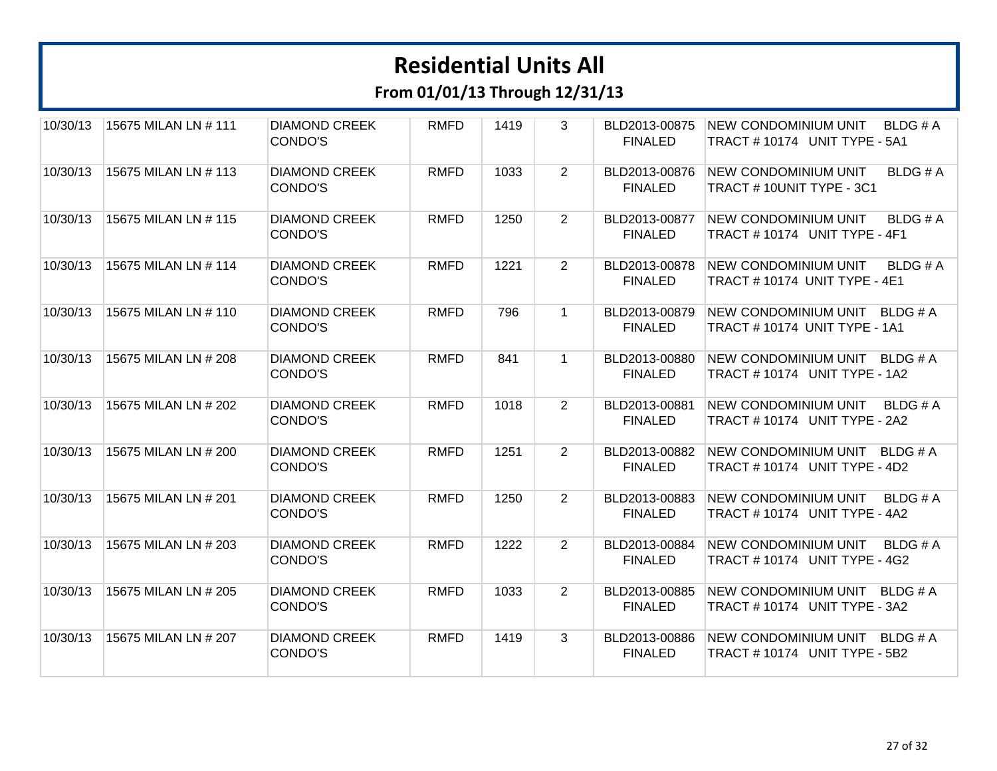| 10/30/13 | 15675 MILAN LN # 111 | <b>DIAMOND CREEK</b><br>CONDO'S | <b>RMFD</b> | 1419 | 3              | BLD2013-00875<br><b>FINALED</b> | <b>NEW CONDOMINIUM UNIT</b><br>BLDG # A<br>TRACT #10174 UNIT TYPE - 5A1  |
|----------|----------------------|---------------------------------|-------------|------|----------------|---------------------------------|--------------------------------------------------------------------------|
| 10/30/13 | 15675 MILAN LN # 113 | <b>DIAMOND CREEK</b><br>CONDO'S | <b>RMFD</b> | 1033 | $\overline{2}$ | BLD2013-00876<br><b>FINALED</b> | <b>NEW CONDOMINIUM UNIT</b><br><b>BLDG#A</b><br>TRACT #10UNIT TYPE - 3C1 |
| 10/30/13 | 15675 MILAN LN # 115 | <b>DIAMOND CREEK</b><br>CONDO'S | <b>RMFD</b> | 1250 | $\overline{2}$ | BLD2013-00877<br><b>FINALED</b> | <b>NEW CONDOMINIUM UNIT</b><br>BLDG#A<br>TRACT #10174 UNIT TYPE - 4F1    |
| 10/30/13 | 15675 MILAN LN # 114 | <b>DIAMOND CREEK</b><br>CONDO'S | <b>RMFD</b> | 1221 | $\overline{2}$ | BLD2013-00878<br><b>FINALED</b> | <b>NEW CONDOMINIUM UNIT</b><br>BLDG # A<br>TRACT # 10174 UNIT TYPE - 4E1 |
| 10/30/13 | 15675 MILAN LN # 110 | <b>DIAMOND CREEK</b><br>CONDO'S | <b>RMFD</b> | 796  | $\mathbf{1}$   | BLD2013-00879<br><b>FINALED</b> | NEW CONDOMINIUM UNIT<br>BLDG#A<br>TRACT # 10174 UNIT TYPE - 1A1          |
| 10/30/13 | 15675 MILAN LN # 208 | <b>DIAMOND CREEK</b><br>CONDO'S | <b>RMFD</b> | 841  | $\mathbf{1}$   | BLD2013-00880<br><b>FINALED</b> | <b>NEW CONDOMINIUM UNIT</b><br>BLDG#A<br>TRACT #10174 UNIT TYPE - 1A2    |
| 10/30/13 | 15675 MILAN LN # 202 | <b>DIAMOND CREEK</b><br>CONDO'S | <b>RMFD</b> | 1018 | $\overline{2}$ | BLD2013-00881<br><b>FINALED</b> | <b>NEW CONDOMINIUM UNIT</b><br>BLDG # A<br>TRACT #10174 UNIT TYPE - 2A2  |
| 10/30/13 | 15675 MILAN LN # 200 | <b>DIAMOND CREEK</b><br>CONDO'S | <b>RMFD</b> | 1251 | $\overline{2}$ | BLD2013-00882<br><b>FINALED</b> | NEW CONDOMINIUM UNIT<br>BLDG # A<br>TRACT #10174 UNIT TYPE - 4D2         |
| 10/30/13 | 15675 MILAN LN # 201 | <b>DIAMOND CREEK</b><br>CONDO'S | <b>RMFD</b> | 1250 | $\overline{2}$ | BLD2013-00883<br><b>FINALED</b> | <b>NEW CONDOMINIUM UNIT</b><br>BLDG#A<br>TRACT #10174 UNIT TYPE - 4A2    |
| 10/30/13 | 15675 MILAN LN # 203 | <b>DIAMOND CREEK</b><br>CONDO'S | <b>RMFD</b> | 1222 | $\overline{2}$ | BLD2013-00884<br><b>FINALED</b> | <b>NEW CONDOMINIUM UNIT</b><br>BLDG # A<br>TRACT #10174 UNIT TYPE - 4G2  |
| 10/30/13 | 15675 MILAN LN # 205 | <b>DIAMOND CREEK</b><br>CONDO'S | <b>RMFD</b> | 1033 | $\overline{2}$ | BLD2013-00885<br><b>FINALED</b> | <b>NEW CONDOMINIUM UNIT</b><br>BLDG # A<br>TRACT #10174 UNIT TYPE - 3A2  |
| 10/30/13 | 15675 MILAN LN # 207 | <b>DIAMOND CREEK</b><br>CONDO'S | <b>RMFD</b> | 1419 | 3              | BLD2013-00886<br><b>FINALED</b> | NEW CONDOMINIUM UNIT<br>BLDG#A<br>TRACT #10174 UNIT TYPE - 5B2           |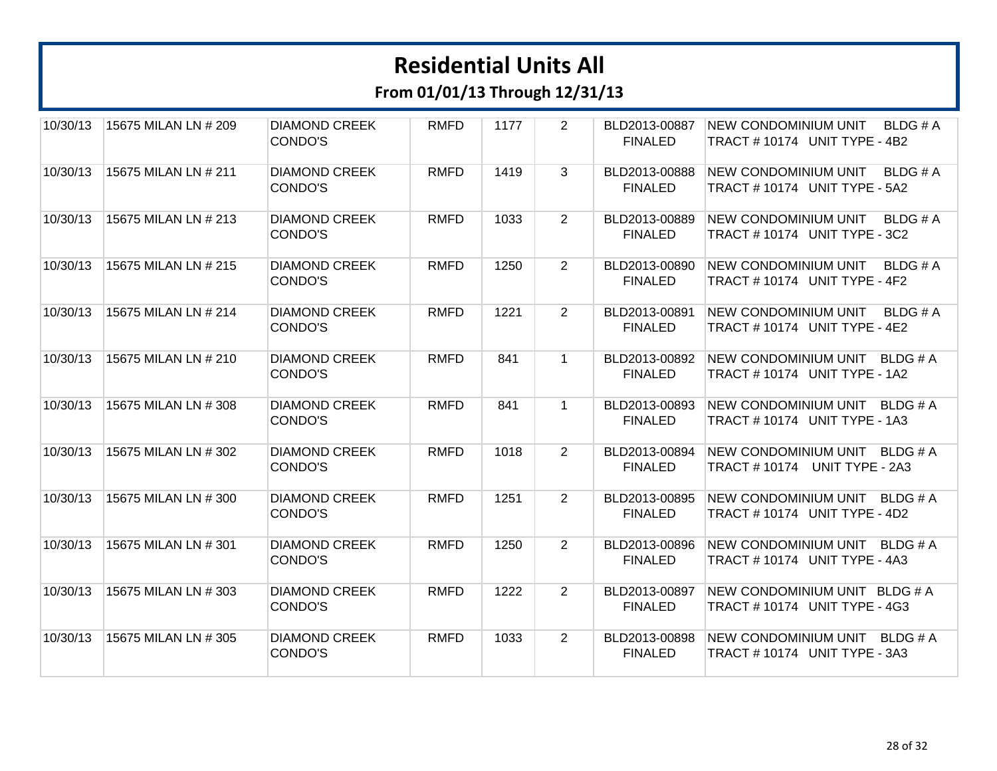| 10/30/13 | 15675 MILAN LN # 209 | <b>DIAMOND CREEK</b><br>CONDO'S | <b>RMFD</b> | 1177 | 2              | BLD2013-00887<br><b>FINALED</b> | <b>NEW CONDOMINIUM UNIT</b><br>BLDG # A<br>TRACT #10174 UNIT TYPE - 4B2      |
|----------|----------------------|---------------------------------|-------------|------|----------------|---------------------------------|------------------------------------------------------------------------------|
| 10/30/13 | 15675 MILAN LN # 211 | <b>DIAMOND CREEK</b><br>CONDO'S | <b>RMFD</b> | 1419 | 3              | BLD2013-00888<br><b>FINALED</b> | <b>NEW CONDOMINIUM UNIT</b><br>BLDG # A<br>TRACT #10174 UNIT TYPE - 5A2      |
| 10/30/13 | 15675 MILAN LN # 213 | <b>DIAMOND CREEK</b><br>CONDO'S | <b>RMFD</b> | 1033 | $\overline{2}$ | BLD2013-00889<br><b>FINALED</b> | <b>NEW CONDOMINIUM UNIT</b><br>BLDG#A<br>TRACT #10174 UNIT TYPE - 3C2        |
| 10/30/13 | 15675 MILAN LN # 215 | <b>DIAMOND CREEK</b><br>CONDO'S | <b>RMFD</b> | 1250 | $\overline{2}$ | BLD2013-00890<br><b>FINALED</b> | <b>NEW CONDOMINIUM UNIT</b><br>BLDG#A<br>TRACT #10174 UNIT TYPE - 4F2        |
| 10/30/13 | 15675 MILAN LN # 214 | <b>DIAMOND CREEK</b><br>CONDO'S | <b>RMFD</b> | 1221 | $\overline{2}$ | BLD2013-00891<br><b>FINALED</b> | <b>NEW CONDOMINIUM UNIT</b><br><b>BLDG#A</b><br>TRACT #10174 UNIT TYPE - 4E2 |
| 10/30/13 | 15675 MILAN LN # 210 | <b>DIAMOND CREEK</b><br>CONDO'S | <b>RMFD</b> | 841  | $\mathbf{1}$   | BLD2013-00892<br><b>FINALED</b> | NEW CONDOMINIUM UNIT BLDG # A<br>TRACT #10174 UNIT TYPE - 1A2                |
| 10/30/13 | 15675 MILAN LN # 308 | <b>DIAMOND CREEK</b><br>CONDO'S | <b>RMFD</b> | 841  | $\mathbf{1}$   | BLD2013-00893<br><b>FINALED</b> | NEW CONDOMINIUM UNIT BLDG # A<br>TRACT #10174 UNIT TYPE - 1A3                |
| 10/30/13 | 15675 MILAN LN # 302 | <b>DIAMOND CREEK</b><br>CONDO'S | <b>RMFD</b> | 1018 | $\overline{2}$ | BLD2013-00894<br><b>FINALED</b> | NEW CONDOMINIUM UNIT BLDG # A<br>TRACT #10174 UNIT TYPE - 2A3                |
| 10/30/13 | 15675 MILAN LN #300  | <b>DIAMOND CREEK</b><br>CONDO'S | <b>RMFD</b> | 1251 | 2              | BLD2013-00895<br><b>FINALED</b> | NEW CONDOMINIUM UNIT BLDG # A<br>TRACT # 10174 UNIT TYPE - 4D2               |
| 10/30/13 | 15675 MILAN LN # 301 | <b>DIAMOND CREEK</b><br>CONDO'S | <b>RMFD</b> | 1250 | $\overline{2}$ | BLD2013-00896<br><b>FINALED</b> | <b>NEW CONDOMINIUM UNIT</b><br>BLDG # A<br>TRACT #10174 UNIT TYPE - 4A3      |
| 10/30/13 | 15675 MILAN LN # 303 | <b>DIAMOND CREEK</b><br>CONDO'S | <b>RMFD</b> | 1222 | 2              | BLD2013-00897<br><b>FINALED</b> | NEW CONDOMINIUM UNIT BLDG # A<br>TRACT #10174 UNIT TYPE - 4G3                |
| 10/30/13 | 15675 MILAN LN # 305 | <b>DIAMOND CREEK</b><br>CONDO'S | <b>RMFD</b> | 1033 | 2              | BLD2013-00898<br><b>FINALED</b> | NEW CONDOMINIUM UNIT<br>BLDG # A<br>TRACT #10174 UNIT TYPE - 3A3             |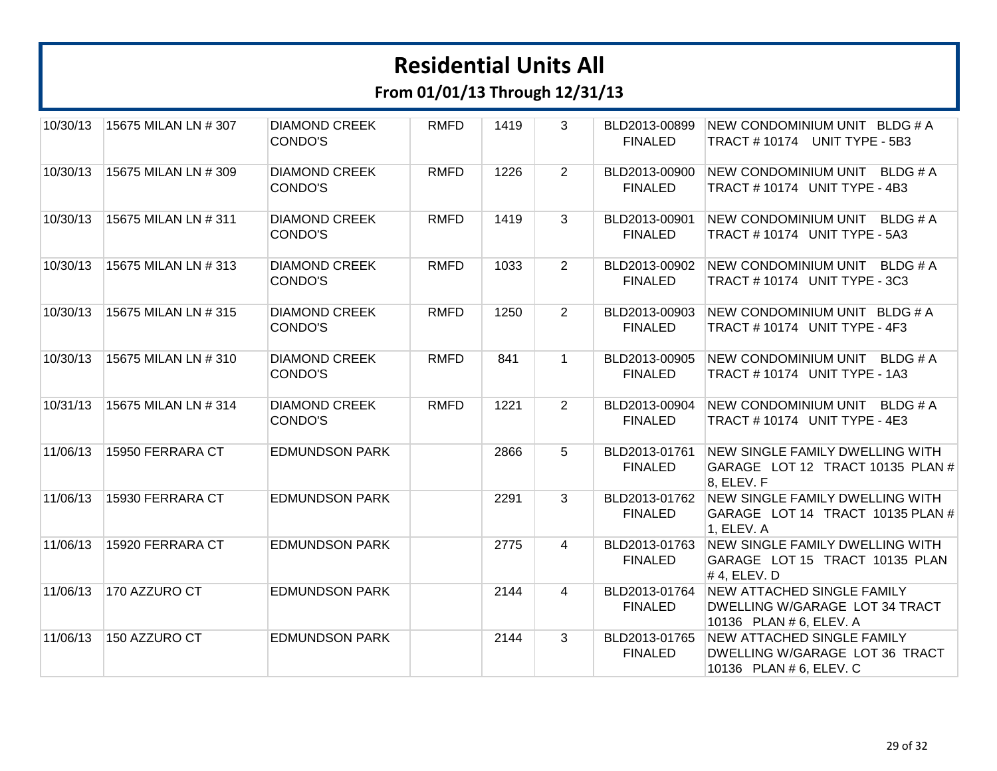| 10/30/13 | 15675 MILAN LN # 307 | <b>DIAMOND CREEK</b><br>CONDO'S | <b>RMFD</b> | 1419 | 3              | BLD2013-00899<br><b>FINALED</b> | NEW CONDOMINIUM UNIT BLDG # A<br>TRACT #10174 UNIT TYPE - 5B3                                  |
|----------|----------------------|---------------------------------|-------------|------|----------------|---------------------------------|------------------------------------------------------------------------------------------------|
| 10/30/13 | 15675 MILAN LN # 309 | <b>DIAMOND CREEK</b><br>CONDO'S | <b>RMFD</b> | 1226 | $\overline{2}$ | BLD2013-00900<br><b>FINALED</b> | NEW CONDOMINIUM UNIT BLDG # A<br>TRACT #10174 UNIT TYPE - 4B3                                  |
| 10/30/13 | 15675 MILAN LN # 311 | <b>DIAMOND CREEK</b><br>CONDO'S | <b>RMFD</b> | 1419 | 3              | BLD2013-00901<br><b>FINALED</b> | <b>NEW CONDOMINIUM UNIT</b><br>BLDG#A<br>TRACT #10174 UNIT TYPE - 5A3                          |
| 10/30/13 | 15675 MILAN LN # 313 | <b>DIAMOND CREEK</b><br>CONDO'S | <b>RMFD</b> | 1033 | $\overline{2}$ | BLD2013-00902<br><b>FINALED</b> | NEW CONDOMINIUM UNIT<br>BLDG # A<br>TRACT #10174 UNIT TYPE - 3C3                               |
| 10/30/13 | 15675 MILAN LN # 315 | <b>DIAMOND CREEK</b><br>CONDO'S | <b>RMFD</b> | 1250 | $\overline{2}$ | BLD2013-00903<br><b>FINALED</b> | NEW CONDOMINIUM UNIT BLDG # A<br>TRACT #10174 UNIT TYPE - 4F3                                  |
| 10/30/13 | 15675 MILAN LN # 310 | <b>DIAMOND CREEK</b><br>CONDO'S | <b>RMFD</b> | 841  | $\mathbf{1}$   | BLD2013-00905<br><b>FINALED</b> | NEW CONDOMINIUM UNIT<br>BLDG # A<br>TRACT #10174 UNIT TYPE - 1A3                               |
| 10/31/13 | 15675 MILAN LN # 314 | <b>DIAMOND CREEK</b><br>CONDO'S | <b>RMFD</b> | 1221 | $\overline{2}$ | BLD2013-00904<br><b>FINALED</b> | NEW CONDOMINIUM UNIT<br>BLDG # A<br>TRACT # 10174 UNIT TYPE - 4E3                              |
| 11/06/13 | 15950 FERRARA CT     | <b>EDMUNDSON PARK</b>           |             | 2866 | 5              | BLD2013-01761<br><b>FINALED</b> | NEW SINGLE FAMILY DWELLING WITH<br>GARAGE LOT 12 TRACT 10135 PLAN #<br>8, ELEV. F              |
| 11/06/13 | 15930 FERRARA CT     | <b>EDMUNDSON PARK</b>           |             | 2291 | 3              | BLD2013-01762<br><b>FINALED</b> | NEW SINGLE FAMILY DWELLING WITH<br>GARAGE LOT 14 TRACT 10135 PLAN #<br>1, ELEV. A              |
| 11/06/13 | 15920 FERRARA CT     | <b>EDMUNDSON PARK</b>           |             | 2775 | 4              | BLD2013-01763<br><b>FINALED</b> | NEW SINGLE FAMILY DWELLING WITH<br>GARAGE LOT 15 TRACT 10135 PLAN<br>$# 4$ , ELEV. D           |
| 11/06/13 | 170 AZZURO CT        | <b>EDMUNDSON PARK</b>           |             | 2144 | 4              | BLD2013-01764<br><b>FINALED</b> | <b>NEW ATTACHED SINGLE FAMILY</b><br>DWELLING W/GARAGE LOT 34 TRACT<br>10136 PLAN # 6, ELEV. A |
| 11/06/13 | 150 AZZURO CT        | <b>EDMUNDSON PARK</b>           |             | 2144 | 3              | BLD2013-01765<br><b>FINALED</b> | <b>NEW ATTACHED SINGLE FAMILY</b><br>DWELLING W/GARAGE LOT 36 TRACT<br>10136 PLAN # 6, ELEV. C |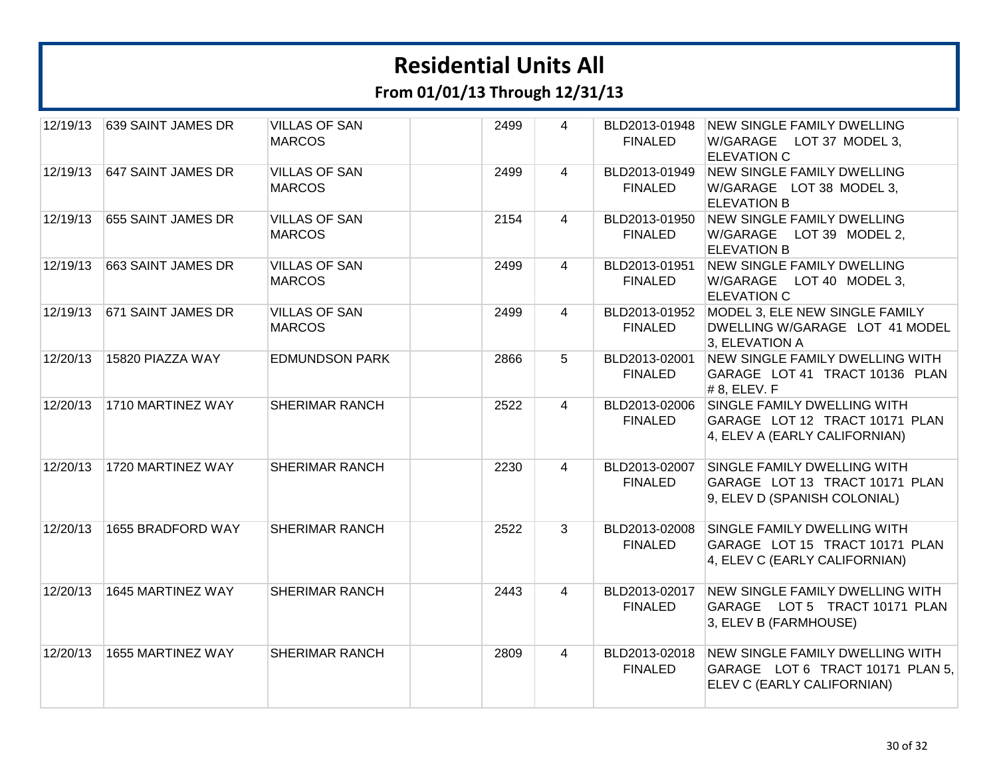| 12/19/13 | 639 SAINT JAMES DR | <b>VILLAS OF SAN</b><br><b>MARCOS</b> | 2499 | 4              | BLD2013-01948<br><b>FINALED</b> | <b>NEW SINGLE FAMILY DWELLING</b><br>W/GARAGE LOT 37 MODEL 3,<br><b>ELEVATION C</b>                             |
|----------|--------------------|---------------------------------------|------|----------------|---------------------------------|-----------------------------------------------------------------------------------------------------------------|
| 12/19/13 | 647 SAINT JAMES DR | <b>VILLAS OF SAN</b><br><b>MARCOS</b> | 2499 | $\overline{4}$ | BLD2013-01949<br><b>FINALED</b> | <b>NEW SINGLE FAMILY DWELLING</b><br>W/GARAGE LOT 38 MODEL 3,<br><b>ELEVATION B</b>                             |
| 12/19/13 | 655 SAINT JAMES DR | <b>VILLAS OF SAN</b><br><b>MARCOS</b> | 2154 | $\overline{4}$ | BLD2013-01950<br><b>FINALED</b> | <b>NEW SINGLE FAMILY DWELLING</b><br>W/GARAGE LOT 39 MODEL 2,<br><b>ELEVATION B</b>                             |
| 12/19/13 | 663 SAINT JAMES DR | <b>VILLAS OF SAN</b><br><b>MARCOS</b> | 2499 | 4              | BLD2013-01951<br><b>FINALED</b> | <b>NEW SINGLE FAMILY DWELLING</b><br>W/GARAGE LOT 40 MODEL 3,<br><b>ELEVATION C</b>                             |
| 12/19/13 | 671 SAINT JAMES DR | <b>VILLAS OF SAN</b><br><b>MARCOS</b> | 2499 | $\overline{4}$ | <b>FINALED</b>                  | BLD2013-01952 MODEL 3, ELE NEW SINGLE FAMILY<br>DWELLING W/GARAGE LOT 41 MODEL<br>3, ELEVATION A                |
| 12/20/13 | 15820 PIAZZA WAY   | <b>EDMUNDSON PARK</b>                 | 2866 | 5              | BLD2013-02001<br><b>FINALED</b> | NEW SINGLE FAMILY DWELLING WITH<br>GARAGE LOT 41 TRACT 10136 PLAN<br>$# 8$ , ELEV. F                            |
| 12/20/13 | 1710 MARTINEZ WAY  | SHERIMAR RANCH                        | 2522 | 4              | <b>FINALED</b>                  | BLD2013-02006 SINGLE FAMILY DWELLING WITH<br>GARAGE LOT 12 TRACT 10171 PLAN<br>4, ELEV A (EARLY CALIFORNIAN)    |
| 12/20/13 | 1720 MARTINEZ WAY  | <b>SHERIMAR RANCH</b>                 | 2230 | 4              | BLD2013-02007<br><b>FINALED</b> | SINGLE FAMILY DWELLING WITH<br>GARAGE LOT 13 TRACT 10171 PLAN<br>9, ELEV D (SPANISH COLONIAL)                   |
| 12/20/13 | 1655 BRADFORD WAY  | <b>SHERIMAR RANCH</b>                 | 2522 | 3              | BLD2013-02008<br><b>FINALED</b> | SINGLE FAMILY DWELLING WITH<br>GARAGE LOT 15 TRACT 10171 PLAN<br>4, ELEV C (EARLY CALIFORNIAN)                  |
| 12/20/13 | 1645 MARTINEZ WAY  | <b>SHERIMAR RANCH</b>                 | 2443 | 4              | BLD2013-02017<br><b>FINALED</b> | NEW SINGLE FAMILY DWELLING WITH<br>GARAGE LOT 5 TRACT 10171 PLAN<br>3, ELEV B (FARMHOUSE)                       |
| 12/20/13 | 1655 MARTINEZ WAY  | <b>SHERIMAR RANCH</b>                 | 2809 | $\overline{4}$ | <b>FINALED</b>                  | BLD2013-02018 NEW SINGLE FAMILY DWELLING WITH<br>GARAGE LOT 6 TRACT 10171 PLAN 5,<br>ELEV C (EARLY CALIFORNIAN) |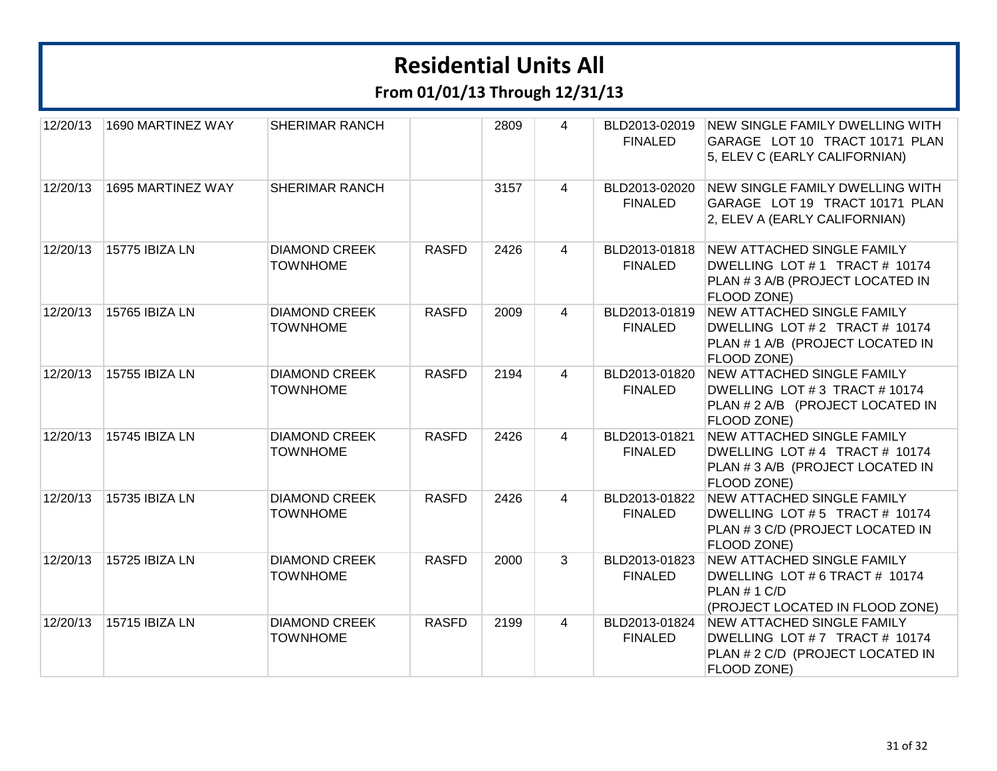| 12/20/13 | 1690 MARTINEZ WAY | <b>SHERIMAR RANCH</b>                   |              | 2809 | 4              | BLD2013-02019<br><b>FINALED</b> | <b>NEW SINGLE FAMILY DWELLING WITH</b><br>GARAGE LOT 10 TRACT 10171 PLAN<br>5, ELEV C (EARLY CALIFORNIAN)                    |
|----------|-------------------|-----------------------------------------|--------------|------|----------------|---------------------------------|------------------------------------------------------------------------------------------------------------------------------|
| 12/20/13 | 1695 MARTINEZ WAY | <b>SHERIMAR RANCH</b>                   |              | 3157 | 4              | BLD2013-02020<br><b>FINALED</b> | NEW SINGLE FAMILY DWELLING WITH<br>GARAGE LOT 19 TRACT 10171 PLAN<br>2, ELEV A (EARLY CALIFORNIAN)                           |
| 12/20/13 | 15775 IBIZA LN    | <b>DIAMOND CREEK</b><br><b>TOWNHOME</b> | <b>RASFD</b> | 2426 | $\overline{4}$ | BLD2013-01818<br><b>FINALED</b> | <b>NEW ATTACHED SINGLE FAMILY</b><br>DWELLING LOT #1 TRACT # 10174<br>PLAN # 3 A/B (PROJECT LOCATED IN<br><b>FLOOD ZONE)</b> |
| 12/20/13 | 15765 IBIZA LN    | <b>DIAMOND CREEK</b><br><b>TOWNHOME</b> | <b>RASFD</b> | 2009 | $\overline{4}$ | BLD2013-01819<br><b>FINALED</b> | <b>NEW ATTACHED SINGLE FAMILY</b><br>DWELLING LOT #2 TRACT # 10174<br>PLAN # 1 A/B (PROJECT LOCATED IN<br>FLOOD ZONE)        |
| 12/20/13 | 15755 IBIZA LN    | <b>DIAMOND CREEK</b><br><b>TOWNHOME</b> | <b>RASFD</b> | 2194 | $\overline{4}$ | BLD2013-01820<br><b>FINALED</b> | <b>NEW ATTACHED SINGLE FAMILY</b><br>DWELLING LOT #3 TRACT #10174<br>PLAN # 2 A/B (PROJECT LOCATED IN<br>FLOOD ZONE)         |
| 12/20/13 | 15745 IBIZA LN    | <b>DIAMOND CREEK</b><br><b>TOWNHOME</b> | <b>RASFD</b> | 2426 | $\overline{4}$ | BLD2013-01821<br><b>FINALED</b> | NEW ATTACHED SINGLE FAMILY<br>DWELLING LOT #4 TRACT # 10174<br>PLAN # 3 A/B (PROJECT LOCATED IN<br>FLOOD ZONE)               |
| 12/20/13 | 15735 IBIZA LN    | <b>DIAMOND CREEK</b><br><b>TOWNHOME</b> | <b>RASFD</b> | 2426 | 4              | BLD2013-01822<br><b>FINALED</b> | <b>NEW ATTACHED SINGLE FAMILY</b><br>DWELLING LOT #5 TRACT # 10174<br>PLAN #3 C/D (PROJECT LOCATED IN<br>FLOOD ZONE)         |
| 12/20/13 | 15725 IBIZA LN    | <b>DIAMOND CREEK</b><br><b>TOWNHOME</b> | <b>RASFD</b> | 2000 | 3              | BLD2013-01823<br><b>FINALED</b> | NEW ATTACHED SINGLE FAMILY<br>DWELLING LOT # 6 TRACT # 10174<br>PLAN # 1 C/D<br>(PROJECT LOCATED IN FLOOD ZONE)              |
| 12/20/13 | 15715 IBIZA LN    | <b>DIAMOND CREEK</b><br><b>TOWNHOME</b> | <b>RASFD</b> | 2199 | $\overline{4}$ | BLD2013-01824<br><b>FINALED</b> | NEW ATTACHED SINGLE FAMILY<br>DWELLING LOT #7 TRACT # 10174<br>PLAN # 2 C/D (PROJECT LOCATED IN<br>FLOOD ZONE)               |